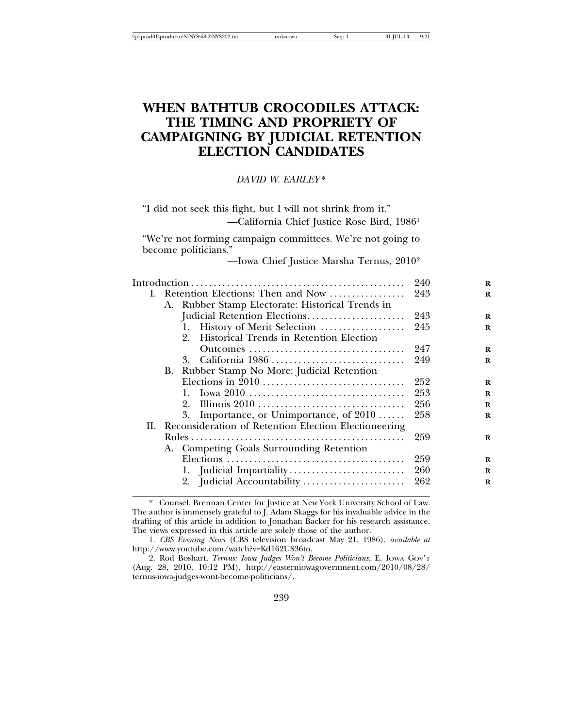# **WHEN BATHTUB CROCODILES ATTACK: THE TIMING AND PROPRIETY OF CAMPAIGNING BY JUDICIAL RETENTION ELECTION CANDIDATES**

# *DAVID W. EARLEY* \*

"I did not seek this fight, but I will not shrink from it." —California Chief Justice Rose Bird, 19861

"We're not forming campaign committees. We're not going to become politicians."

—Iowa Chief Justice Marsha Ternus, 20102

|  |                                                          | 240 | $\bf{R}$ |
|--|----------------------------------------------------------|-----|----------|
|  | I. Retention Elections: Then and Now                     | 243 | R        |
|  | A. Rubber Stamp Electorate: Historical Trends in         |     |          |
|  | Judicial Retention Elections                             | 243 | R        |
|  | History of Merit Selection<br>1.                         | 245 | R        |
|  | Historical Trends in Retention Election<br>$2_{-}$       |     |          |
|  |                                                          | 247 | R        |
|  | 3. California 1986                                       | 249 | R        |
|  | B. Rubber Stamp No More: Judicial Retention              |     |          |
|  |                                                          | 252 | R        |
|  |                                                          | 253 | R        |
|  | $2^{2}$                                                  | 256 | R        |
|  | 3. Importance, or Unimportance, of 2010                  | 258 | R        |
|  | II. Reconsideration of Retention Election Electioneering |     |          |
|  |                                                          | 259 | R        |
|  | A. Competing Goals Surrounding Retention                 |     |          |
|  |                                                          | 259 | R        |
|  |                                                          | 260 | R        |
|  | 2. Judicial Accountability                               | 262 | R        |
|  |                                                          |     |          |

\* Counsel, Brennan Center for Justice at New York University School of Law. The author is immensely grateful to J. Adam Skaggs for his invaluable advice in the drafting of this article in addition to Jonathan Backer for his research assistance. The views expressed in this article are solely those of the author.

1. *CBS Evening News* (CBS television broadcast May 21, 1986), *available at* http://www.youtube.com/watch?v=Kd162US36to.

2. Rod Boshart, *Ternus: Iowa Judges Won't Become Politicians*, E. IOWA GOV'T (Aug. 28, 2010, 10:12 PM), http://easterniowagovernment.com/2010/08/28/ ternus-iowa-judges-wont-become-politicians/.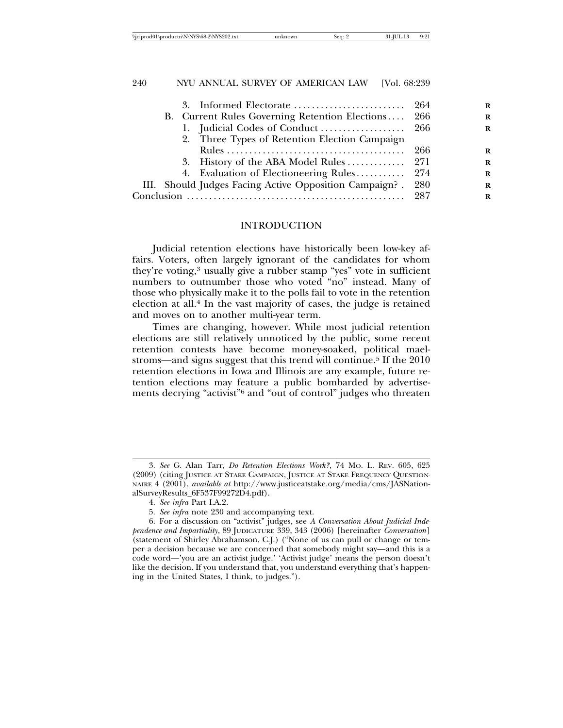|                                                         |     | R |
|---------------------------------------------------------|-----|---|
| B. Current Rules Governing Retention Elections 266      |     | R |
|                                                         |     | R |
| 2. Three Types of Retention Election Campaign           |     |   |
|                                                         |     | R |
|                                                         |     | R |
| 4. Evaluation of Electioneering Rules                   | 274 | R |
| III. Should Judges Facing Active Opposition Campaign? . | 280 | R |
|                                                         |     | R |
|                                                         |     |   |

#### INTRODUCTION

Judicial retention elections have historically been low-key affairs. Voters, often largely ignorant of the candidates for whom they're voting,3 usually give a rubber stamp "yes" vote in sufficient numbers to outnumber those who voted "no" instead. Many of those who physically make it to the polls fail to vote in the retention election at all.4 In the vast majority of cases, the judge is retained and moves on to another multi-year term.

Times are changing, however. While most judicial retention elections are still relatively unnoticed by the public, some recent retention contests have become money-soaked, political maelstroms—and signs suggest that this trend will continue.<sup>5</sup> If the 2010 retention elections in Iowa and Illinois are any example, future retention elections may feature a public bombarded by advertisements decrying "activist"6 and "out of control" judges who threaten

<sup>3.</sup> *See* G. Alan Tarr, *Do Retention Elections Work?*, 74 MO. L. REV. 605, 625 (2009) (citing JUSTICE AT STAKE CAMPAIGN, JUSTICE AT STAKE FREQUENCY QUESTION-NAIRE 4 (2001), *available at* http://www.justiceatstake.org/media/cms/JASNationalSurveyResults\_6F537F99272D4.pdf).

<sup>4.</sup> *See infra* Part I.A.2.

<sup>5.</sup> *See infra* note 230 and accompanying text.

<sup>6.</sup> For a discussion on "activist" judges, see *A Conversation About Judicial Independence and Impartiality*, 89 JUDICATURE 339, 343 (2006) [hereinafter *Conversation*] (statement of Shirley Abrahamson, C.J.) ("None of us can pull or change or temper a decision because we are concerned that somebody might say—and this is a code word—'you are an activist judge.' 'Activist judge' means the person doesn't like the decision. If you understand that, you understand everything that's happening in the United States, I think, to judges.").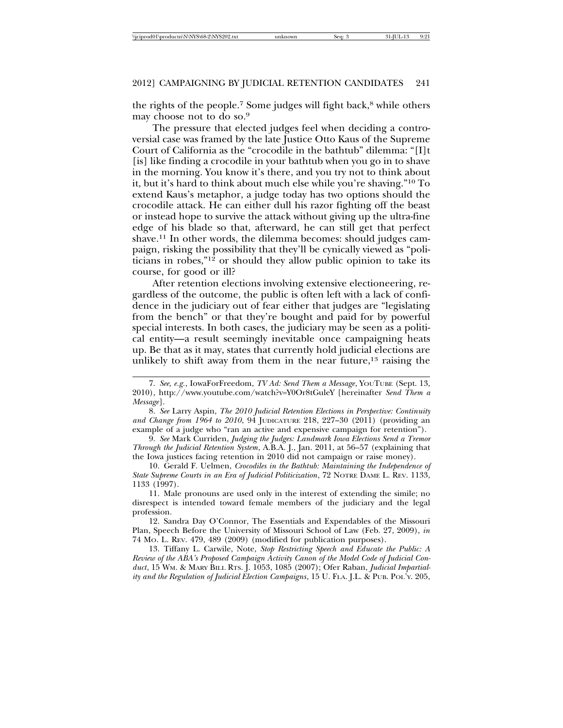the rights of the people.<sup>7</sup> Some judges will fight back,<sup>8</sup> while others may choose not to do so.9

The pressure that elected judges feel when deciding a controversial case was framed by the late Justice Otto Kaus of the Supreme Court of California as the "crocodile in the bathtub" dilemma: "[I]t [is] like finding a crocodile in your bathtub when you go in to shave in the morning. You know it's there, and you try not to think about it, but it's hard to think about much else while you're shaving."10 To extend Kaus's metaphor, a judge today has two options should the crocodile attack. He can either dull his razor fighting off the beast or instead hope to survive the attack without giving up the ultra-fine edge of his blade so that, afterward, he can still get that perfect shave.11 In other words, the dilemma becomes: should judges campaign, risking the possibility that they'll be cynically viewed as "politicians in robes,"12 or should they allow public opinion to take its course, for good or ill?

After retention elections involving extensive electioneering, regardless of the outcome, the public is often left with a lack of confidence in the judiciary out of fear either that judges are "legislating from the bench" or that they're bought and paid for by powerful special interests. In both cases, the judiciary may be seen as a political entity—a result seemingly inevitable once campaigning heats up. Be that as it may, states that currently hold judicial elections are unlikely to shift away from them in the near future, $13$  raising the

<sup>7.</sup> *See, e.g.*, IowaForFreedom, *TV Ad: Send Them a Message*, YOUTUBE (Sept. 13, 2010), http://www.youtube.com/watch?v=Y0Or8tGuleY [hereinafter *Send Them a Message*].

<sup>8.</sup> *See* Larry Aspin, *The 2010 Judicial Retention Elections in Perspective: Continuity and Change from 1964 to 2010*, 94 JUDICATURE 218, 227–30 (2011) (providing an example of a judge who "ran an active and expensive campaign for retention").

<sup>9.</sup> *See* Mark Curriden, *Judging the Judges: Landmark Iowa Elections Send a Tremor Through the Judicial Retention System*, A.B.A. J., Jan. 2011, at 56–57 (explaining that the Iowa justices facing retention in 2010 did not campaign or raise money).

<sup>10.</sup> Gerald F. Uelmen, *Crocodiles in the Bathtub: Maintaining the Independence of State Supreme Courts in an Era of Judicial Politicization*, 72 NOTRE DAME L. REV. 1133, 1133 (1997).

<sup>11.</sup> Male pronouns are used only in the interest of extending the simile; no disrespect is intended toward female members of the judiciary and the legal profession.

<sup>12.</sup> Sandra Day O'Connor, The Essentials and Expendables of the Missouri Plan, Speech Before the University of Missouri School of Law (Feb. 27, 2009), *in* 74 MO. L. REV. 479, 489 (2009) (modified for publication purposes).

<sup>13.</sup> Tiffany L. Carwile, Note, *Stop Restricting Speech and Educate the Public: A Review of the ABA's Proposed Campaign Activity Canon of the Model Code of Judicial Conduct*, 15 WM. & MARY BILL RTS. J. 1053, 1085 (2007); Ofer Raban, *Judicial Impartiality and the Regulation of Judicial Election Campaigns*, 15 U. FLA. J.L. & PUB. POL'Y. 205,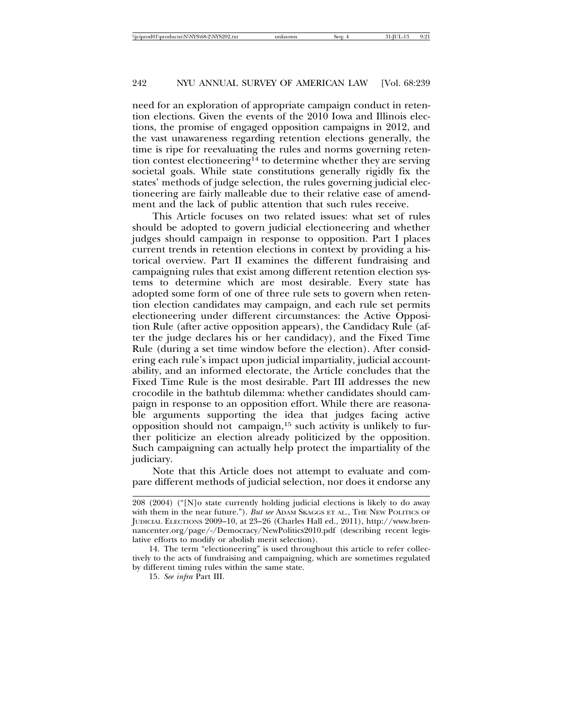need for an exploration of appropriate campaign conduct in retention elections. Given the events of the 2010 Iowa and Illinois elections, the promise of engaged opposition campaigns in 2012, and the vast unawareness regarding retention elections generally, the time is ripe for reevaluating the rules and norms governing retention contest electioneering14 to determine whether they are serving societal goals. While state constitutions generally rigidly fix the states' methods of judge selection, the rules governing judicial electioneering are fairly malleable due to their relative ease of amendment and the lack of public attention that such rules receive.

This Article focuses on two related issues: what set of rules should be adopted to govern judicial electioneering and whether judges should campaign in response to opposition. Part I places current trends in retention elections in context by providing a historical overview. Part II examines the different fundraising and campaigning rules that exist among different retention election systems to determine which are most desirable. Every state has adopted some form of one of three rule sets to govern when retention election candidates may campaign, and each rule set permits electioneering under different circumstances: the Active Opposition Rule (after active opposition appears), the Candidacy Rule (after the judge declares his or her candidacy), and the Fixed Time Rule (during a set time window before the election). After considering each rule's impact upon judicial impartiality, judicial accountability, and an informed electorate, the Article concludes that the Fixed Time Rule is the most desirable. Part III addresses the new crocodile in the bathtub dilemma: whether candidates should campaign in response to an opposition effort. While there are reasonable arguments supporting the idea that judges facing active opposition should not campaign,15 such activity is unlikely to further politicize an election already politicized by the opposition. Such campaigning can actually help protect the impartiality of the judiciary.

Note that this Article does not attempt to evaluate and compare different methods of judicial selection, nor does it endorse any

14. The term "electioneering" is used throughout this article to refer collectively to the acts of fundraising and campaigning, which are sometimes regulated by different timing rules within the same state.

<sup>208 (2004) (&</sup>quot;[N]o state currently holding judicial elections is likely to do away with them in the near future."). *But see* ADAM SKAGGS ET AL., THE NEW POLITICS OF JUDICIAL ELECTIONS 2009–10, at 23–26 (Charles Hall ed., 2011), http://www.brennancenter.org/page/-/Democracy/NewPolitics2010.pdf (describing recent legislative efforts to modify or abolish merit selection).

<sup>15.</sup> *See infra* Part III.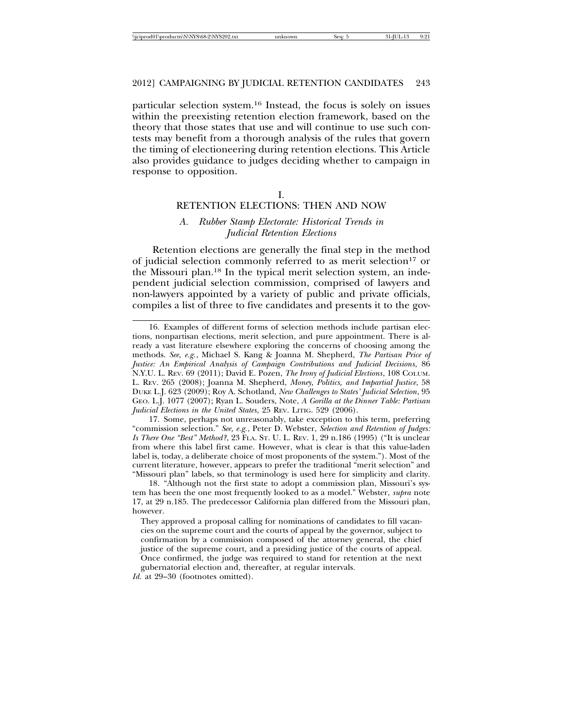| \\iciprod01\productn\N\NYS\68-2\NYS202.txt<br>-0.9*<br>Sea:<br>unknown |
|------------------------------------------------------------------------|
|------------------------------------------------------------------------|

particular selection system.16 Instead, the focus is solely on issues within the preexisting retention election framework, based on the theory that those states that use and will continue to use such contests may benefit from a thorough analysis of the rules that govern the timing of electioneering during retention elections. This Article also provides guidance to judges deciding whether to campaign in response to opposition.

I.

# RETENTION ELECTIONS: THEN AND NOW

# *A. Rubber Stamp Electorate: Historical Trends in Judicial Retention Elections*

Retention elections are generally the final step in the method of judicial selection commonly referred to as merit selection<sup>17</sup> or the Missouri plan.18 In the typical merit selection system, an independent judicial selection commission, comprised of lawyers and non-lawyers appointed by a variety of public and private officials, compiles a list of three to five candidates and presents it to the gov-

17. Some, perhaps not unreasonably, take exception to this term, preferring "commission selection." *See, e.g.*, Peter D. Webster, *Selection and Retention of Judges: Is There One "Best" Method?*, 23 F<sub>LA</sub>. S<sub>T</sub>. U. L. REV. 1, 29 n.186 (1995) ("It is unclear from where this label first came. However, what is clear is that this value-laden label is, today, a deliberate choice of most proponents of the system."). Most of the current literature, however, appears to prefer the traditional "merit selection" and "Missouri plan" labels, so that terminology is used here for simplicity and clarity.

gubernatorial election and, thereafter, at regular intervals. *Id.* at 29–30 (footnotes omitted).

<sup>16.</sup> Examples of different forms of selection methods include partisan elections, nonpartisan elections, merit selection, and pure appointment. There is already a vast literature elsewhere exploring the concerns of choosing among the methods. *See, e.g.*, Michael S. Kang & Joanna M. Shepherd, *The Partisan Price of Justice: An Empirical Analysis of Campaign Contributions and Judicial Decisions*, 86 N.Y.U. L. REV. 69 (2011); David E. Pozen, *The Irony of Judicial Elections*, 108 COLUM. L. REV. 265 (2008); Joanna M. Shepherd, *Money, Politics, and Impartial Justice*, 58 DUKE L.J. 623 (2009); Roy A. Schotland, *New Challenges to States' Judicial Selection*, 95 GEO. L.J. 1077 (2007); Ryan L. Souders, Note, *A Gorilla at the Dinner Table: Partisan Judicial Elections in the United States*, 25 REV. LITIG. 529 (2006).

<sup>18. &</sup>quot;Although not the first state to adopt a commission plan, Missouri's system has been the one most frequently looked to as a model." Webster, *supra* note 17, at 29 n.185. The predecessor California plan differed from the Missouri plan, however.

They approved a proposal calling for nominations of candidates to fill vacancies on the supreme court and the courts of appeal by the governor, subject to confirmation by a commission composed of the attorney general, the chief justice of the supreme court, and a presiding justice of the courts of appeal. Once confirmed, the judge was required to stand for retention at the next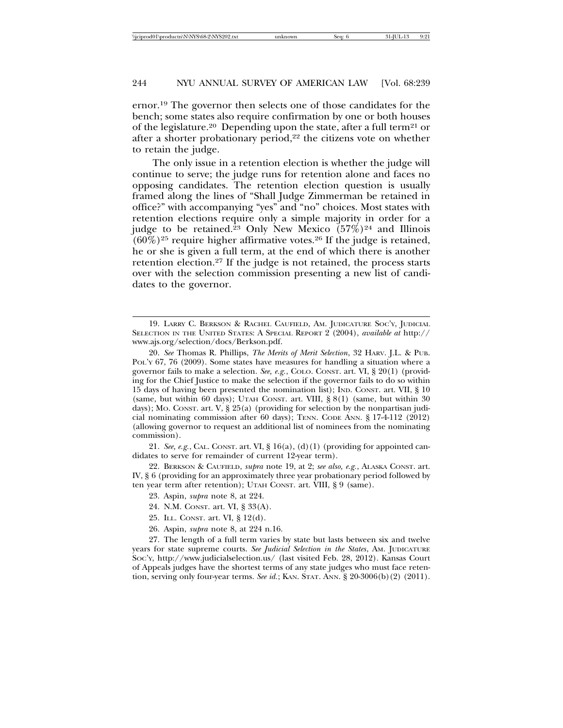ernor.19 The governor then selects one of those candidates for the bench; some states also require confirmation by one or both houses of the legislature.<sup>20</sup> Depending upon the state, after a full term<sup>21</sup> or after a shorter probationary period,22 the citizens vote on whether to retain the judge.

The only issue in a retention election is whether the judge will continue to serve; the judge runs for retention alone and faces no opposing candidates. The retention election question is usually framed along the lines of "Shall Judge Zimmerman be retained in office?" with accompanying "yes" and "no" choices. Most states with retention elections require only a simple majority in order for a judge to be retained.<sup>23</sup> Only New Mexico  $(57\%)^{24}$  and Illinois  $(60\%)^{25}$  require higher affirmative votes.<sup>26</sup> If the judge is retained, he or she is given a full term, at the end of which there is another retention election.27 If the judge is not retained, the process starts over with the selection commission presenting a new list of candidates to the governor.

21. *See, e.g.*, CAL. CONST. art. VI, § 16(a), (d)(1) (providing for appointed candidates to serve for remainder of current 12-year term).

22. BERKSON & CAUFIELD, *supra* note 19, at 2; *see also, e.g.*, ALASKA CONST. art. IV, § 6 (providing for an approximately three year probationary period followed by ten year term after retention); UTAH CONST. art. VIII, § 9 (same).

- 23. Aspin, *supra* note 8, at 224.
- 24. N.M. CONST. art. VI, § 33(A).
- 25. ILL. CONST. art. VI, § 12(d).
- 26. Aspin, *supra* note 8, at 224 n.16.

27. The length of a full term varies by state but lasts between six and twelve years for state supreme courts. *See Judicial Selection in the States*, AM. JUDICATURE SOC'Y, http://www.judicialselection.us/ (last visited Feb. 28, 2012). Kansas Court of Appeals judges have the shortest terms of any state judges who must face retention, serving only four-year terms. *See id.*; KAN. STAT. ANN. § 20-3006(b)(2) (2011).

<sup>19.</sup> LARRY C. BERKSON & RACHEL CAUFIELD, AM. JUDICATURE SOC'Y, JUDICIAL SELECTION IN THE UNITED STATES: A SPECIAL REPORT 2 (2004), *available at* http:// www.ajs.org/selection/docs/Berkson.pdf.

<sup>20.</sup> *See* Thomas R. Phillips, *The Merits of Merit Selection*, 32 HARV. J.L. & PUB. POL'Y 67, 76 (2009). Some states have measures for handling a situation where a governor fails to make a selection. *See, e.g.*, COLO. CONST. art. VI, § 20(1) (providing for the Chief Justice to make the selection if the governor fails to do so within 15 days of having been presented the nomination list); IND. CONST. art. VII, § 10 (same, but within 60 days); UTAH CONST. art. VIII, § 8(1) (same, but within 30 days); MO. CONST. art. V, § 25(a) (providing for selection by the nonpartisan judicial nominating commission after 60 days); TENN. CODE ANN. § 17-4-112 (2012) (allowing governor to request an additional list of nominees from the nominating commission).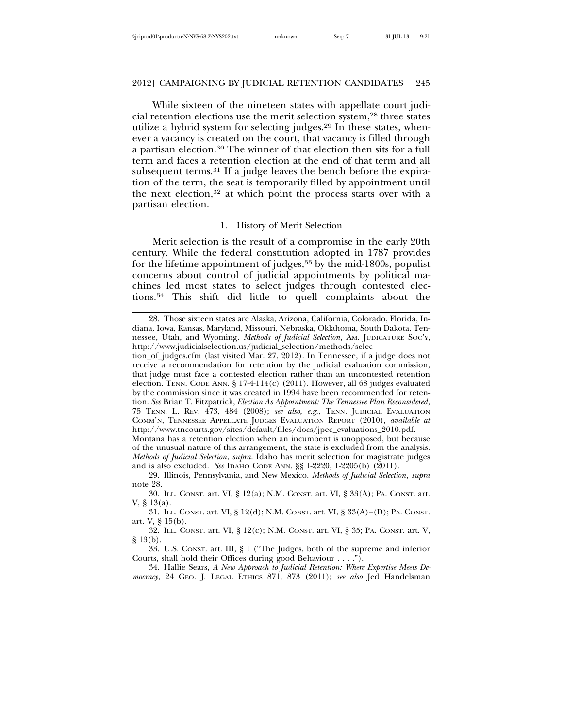| \\iciprod01\productn\N\NYS\68-2\NYS202.txt<br>Sea:<br>unknown |  | 0.97<br>, |
|---------------------------------------------------------------|--|-----------|
|---------------------------------------------------------------|--|-----------|

While sixteen of the nineteen states with appellate court judicial retention elections use the merit selection system,<sup>28</sup> three states utilize a hybrid system for selecting judges.29 In these states, whenever a vacancy is created on the court, that vacancy is filled through a partisan election.30 The winner of that election then sits for a full term and faces a retention election at the end of that term and all subsequent terms.<sup>31</sup> If a judge leaves the bench before the expiration of the term, the seat is temporarily filled by appointment until the next election,32 at which point the process starts over with a partisan election.

#### 1. History of Merit Selection

Merit selection is the result of a compromise in the early 20th century. While the federal constitution adopted in 1787 provides for the lifetime appointment of judges,<sup>33</sup> by the mid-1800s, populist concerns about control of judicial appointments by political machines led most states to select judges through contested elections.34 This shift did little to quell complaints about the

<sup>28.</sup> Those sixteen states are Alaska, Arizona, California, Colorado, Florida, Indiana, Iowa, Kansas, Maryland, Missouri, Nebraska, Oklahoma, South Dakota, Tennessee, Utah, and Wyoming. *Methods of Judicial Selection*, AM. JUDICATURE SOC'Y, http://www.judicialselection.us/judicial\_selection/methods/selec-

tion\_of\_judges.cfm (last visited Mar. 27, 2012). In Tennessee, if a judge does not receive a recommendation for retention by the judicial evaluation commission, that judge must face a contested election rather than an uncontested retention election. TENN. CODE ANN.  $\S 17-4-114(c)$  (2011). However, all 68 judges evaluated by the commission since it was created in 1994 have been recommended for retention. *See* Brian T. Fitzpatrick, *Election As Appointment: The Tennessee Plan Reconsidered*, 75 TENN. L. REV. 473, 484 (2008); *see also, e.g.*, TENN. JUDICIAL EVALUATION COMM'N, TENNESSEE APPELLATE JUDGES EVALUATION REPORT (2010), *available at* http://www.tncourts.gov/sites/default/files/docs/jpec\_evaluations\_2010.pdf.

Montana has a retention election when an incumbent is unopposed, but because of the unusual nature of this arrangement, the state is excluded from the analysis. *Methods of Judicial Selection*, *supra*. Idaho has merit selection for magistrate judges and is also excluded. *See* IDAHO CODE ANN. §§ 1-2220, 1-2205(b) (2011).

<sup>29.</sup> Illinois, Pennsylvania, and New Mexico. *Methods of Judicial Selection*, *supra* note 28.

<sup>30.</sup> ILL. CONST. art. VI, § 12(a); N.M. CONST. art. VI, § 33(A); PA. CONST. art. V, § 13(a).

<sup>31.</sup> ILL. CONST. art. VI, § 12(d); N.M. CONST. art. VI, § 33(A)–(D); PA. CONST. art. V, § 15(b).

<sup>32.</sup> ILL. CONST. art. VI, § 12(c); N.M. CONST. art. VI, § 35; PA. CONST. art. V,  $\S 13(b)$ .

<sup>33.</sup> U.S. CONST. art. III, § 1 ("The Judges, both of the supreme and inferior Courts, shall hold their Offices during good Behaviour . . . .").

<sup>34.</sup> Hallie Sears, *A New Approach to Judicial Retention: Where Expertise Meets Democracy*, 24 GEO. J. LEGAL ETHICS 871, 873 (2011); *see also* Jed Handelsman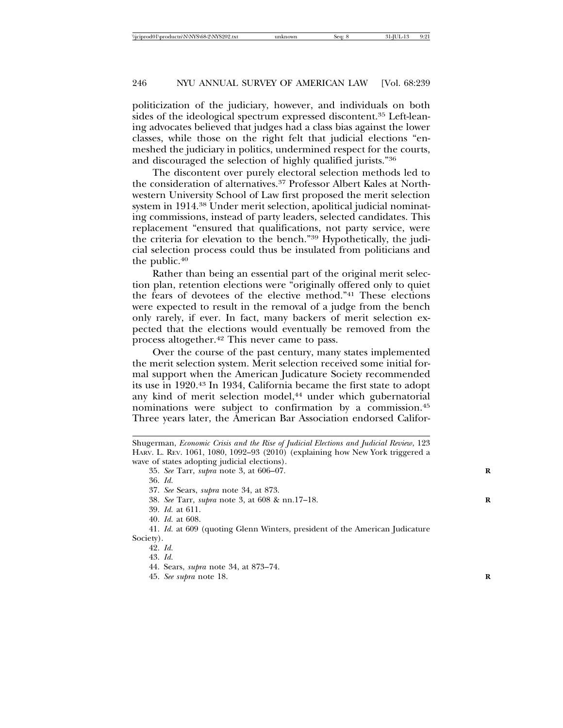politicization of the judiciary, however, and individuals on both sides of the ideological spectrum expressed discontent.35 Left-leaning advocates believed that judges had a class bias against the lower classes, while those on the right felt that judicial elections "enmeshed the judiciary in politics, undermined respect for the courts, and discouraged the selection of highly qualified jurists."36

The discontent over purely electoral selection methods led to the consideration of alternatives.37 Professor Albert Kales at Northwestern University School of Law first proposed the merit selection system in 1914.38 Under merit selection, apolitical judicial nominating commissions, instead of party leaders, selected candidates. This replacement "ensured that qualifications, not party service, were the criteria for elevation to the bench."39 Hypothetically, the judicial selection process could thus be insulated from politicians and the public.40

Rather than being an essential part of the original merit selection plan, retention elections were "originally offered only to quiet the fears of devotees of the elective method."41 These elections were expected to result in the removal of a judge from the bench only rarely, if ever. In fact, many backers of merit selection expected that the elections would eventually be removed from the process altogether.42 This never came to pass.

Over the course of the past century, many states implemented the merit selection system. Merit selection received some initial formal support when the American Judicature Society recommended its use in 1920.43 In 1934, California became the first state to adopt any kind of merit selection model,<sup>44</sup> under which gubernatorial nominations were subject to confirmation by a commission.45 Three years later, the American Bar Association endorsed Califor-

35. *See* Tarr, *supra* note 3, at 606–07. **R**

36. *Id.*

38. *See* Tarr, *supra* note 3, at 608 & nn.17–18. **R**

39. *Id.* at 611.

40. *Id.* at 608.

41. *Id.* at 609 (quoting Glenn Winters, president of the American Judicature Society).

42. *Id.*

43. *Id.*

Shugerman, *Economic Crisis and the Rise of Judicial Elections and Judicial Review*, 123 HARV. L. REV. 1061, 1080, 1092–93 (2010) (explaining how New York triggered a wave of states adopting judicial elections).

<sup>37.</sup> *See* Sears, *supra* note 34, at 873.

<sup>44.</sup> Sears, *supra* note 34, at 873–74.

<sup>45.</sup> *See supra* note 18. **R**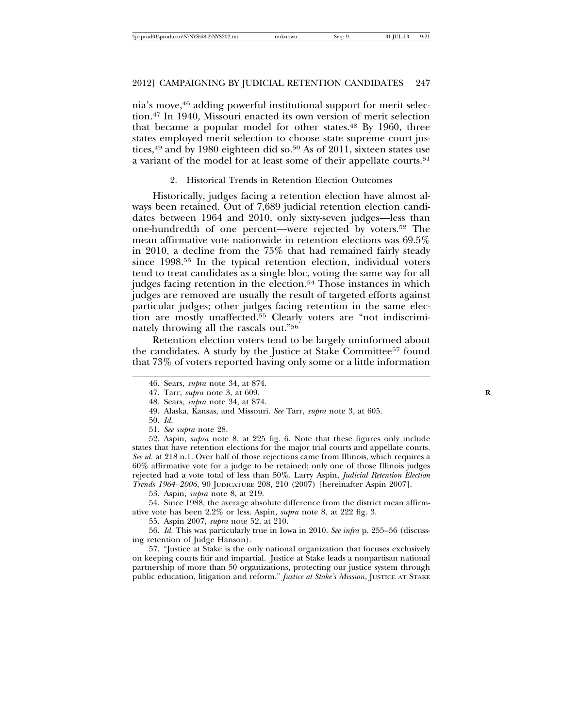| \\iciprod01\productn\N\NYS\68-2\NYS202.txt<br>Sea:<br>unknown |  | 0.97<br>, |
|---------------------------------------------------------------|--|-----------|
|---------------------------------------------------------------|--|-----------|

nia's move,46 adding powerful institutional support for merit selection.47 In 1940, Missouri enacted its own version of merit selection that became a popular model for other states.48 By 1960, three states employed merit selection to choose state supreme court justices,  $49$  and by 1980 eighteen did so.<sup>50</sup> As of 2011, sixteen states use a variant of the model for at least some of their appellate courts.51

#### 2. Historical Trends in Retention Election Outcomes

Historically, judges facing a retention election have almost always been retained. Out of 7,689 judicial retention election candidates between 1964 and 2010, only sixty-seven judges—less than one-hundredth of one percent—were rejected by voters.52 The mean affirmative vote nationwide in retention elections was 69.5% in 2010, a decline from the 75% that had remained fairly steady since 1998.53 In the typical retention election, individual voters tend to treat candidates as a single bloc, voting the same way for all judges facing retention in the election.<sup>54</sup> Those instances in which judges are removed are usually the result of targeted efforts against particular judges; other judges facing retention in the same election are mostly unaffected.55 Clearly voters are "not indiscriminately throwing all the rascals out."56

Retention election voters tend to be largely uninformed about the candidates. A study by the Justice at Stake Committee57 found that 73% of voters reported having only some or a little information

52. Aspin, *supra* note 8, at 225 fig. 6. Note that these figures only include states that have retention elections for the major trial courts and appellate courts. *See id.* at 218 n.1. Over half of those rejections came from Illinois, which requires a 60% affirmative vote for a judge to be retained; only one of those Illinois judges rejected had a vote total of less than 50%. Larry Aspin, *Judicial Retention Election Trends 1964–2006*, 90 JUDICATURE 208, 210 (2007) [hereinafter Aspin 2007].

53. Aspin, *supra* note 8, at 219.

54. Since 1988, the average absolute difference from the district mean affirmative vote has been 2.2% or less. Aspin, *supra* note 8, at 222 fig. 3.

55. Aspin 2007, *supra* note 52, at 210.

56. *Id.* This was particularly true in Iowa in 2010. *See infra* p. 255–56 (discussing retention of Judge Hanson).

57. "Justice at Stake is the only national organization that focuses exclusively on keeping courts fair and impartial. Justice at Stake leads a nonpartisan national partnership of more than 50 organizations, protecting our justice system through public education, litigation and reform." *Justice at Stake's Mission*, JUSTICE AT STAKE

<sup>46.</sup> Sears, *supra* note 34, at 874.

<sup>47.</sup> Tarr, *supra* note 3, at 609. **R**

<sup>48.</sup> Sears, *supra* note 34, at 874.

<sup>49.</sup> Alaska, Kansas, and Missouri. *See* Tarr, *supra* note 3, at 605.

<sup>50.</sup> *Id.*

<sup>51.</sup> *See supra* note 28.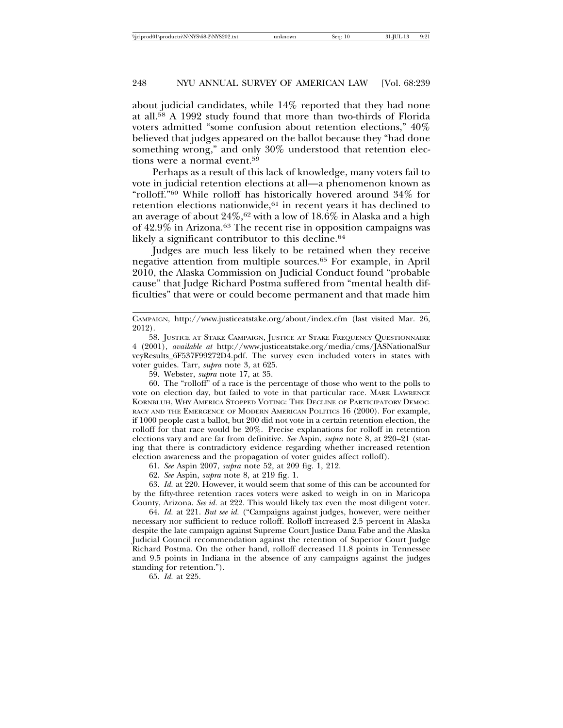about judicial candidates, while 14% reported that they had none at all.58 A 1992 study found that more than two-thirds of Florida voters admitted "some confusion about retention elections," 40% believed that judges appeared on the ballot because they "had done something wrong," and only 30% understood that retention elections were a normal event.59

Perhaps as a result of this lack of knowledge, many voters fail to vote in judicial retention elections at all—a phenomenon known as "rolloff."60 While rolloff has historically hovered around 34% for retention elections nationwide, $61$  in recent years it has declined to an average of about  $24\%$ ,<sup>62</sup> with a low of  $18.6\%$  in Alaska and a high of 42.9% in Arizona.<sup>63</sup> The recent rise in opposition campaigns was likely a significant contributor to this decline.<sup>64</sup>

Judges are much less likely to be retained when they receive negative attention from multiple sources.65 For example, in April 2010, the Alaska Commission on Judicial Conduct found "probable cause" that Judge Richard Postma suffered from "mental health difficulties" that were or could become permanent and that made him

60. The "rolloff" of a race is the percentage of those who went to the polls to vote on election day, but failed to vote in that particular race. MARK LAWRENCE KORNBLUH, WHY AMERICA STOPPED VOTING: THE DECLINE OF PARTICIPATORY DEMOC-RACY AND THE EMERGENCE OF MODERN AMERICAN POLITICS 16 (2000). For example, if 1000 people cast a ballot, but 200 did not vote in a certain retention election, the rolloff for that race would be 20%. Precise explanations for rolloff in retention elections vary and are far from definitive. *See* Aspin, *supra* note 8, at 220–21 (stating that there is contradictory evidence regarding whether increased retention election awareness and the propagation of voter guides affect rolloff).

61. *See* Aspin 2007, *supra* note 52, at 209 fig. 1, 212.

62. *See* Aspin, *supra* note 8, at 219 fig. 1.

63. *Id.* at 220. However, it would seem that some of this can be accounted for by the fifty-three retention races voters were asked to weigh in on in Maricopa County, Arizona. *See id.* at 222. This would likely tax even the most diligent voter.

64. *Id.* at 221. *But see id.* ("Campaigns against judges, however, were neither necessary nor sufficient to reduce rolloff. Rolloff increased 2.5 percent in Alaska despite the late campaign against Supreme Court Justice Dana Fabe and the Alaska Judicial Council recommendation against the retention of Superior Court Judge Richard Postma. On the other hand, rolloff decreased 11.8 points in Tennessee and 9.5 points in Indiana in the absence of any campaigns against the judges standing for retention.").

65. *Id.* at 225.

CAMPAIGN, http://www.justiceatstake.org/about/index.cfm (last visited Mar. 26, 2012).

<sup>58.</sup> JUSTICE AT STAKE CAMPAIGN, JUSTICE AT STAKE FREQUENCY QUESTIONNAIRE 4 (2001), *available at* http://www.justiceatstake.org/media/cms/JASNationalSur veyResults\_6F537F99272D4.pdf. The survey even included voters in states with voter guides. Tarr, *supra* note 3, at 625.

<sup>59.</sup> Webster, *supra* note 17, at 35.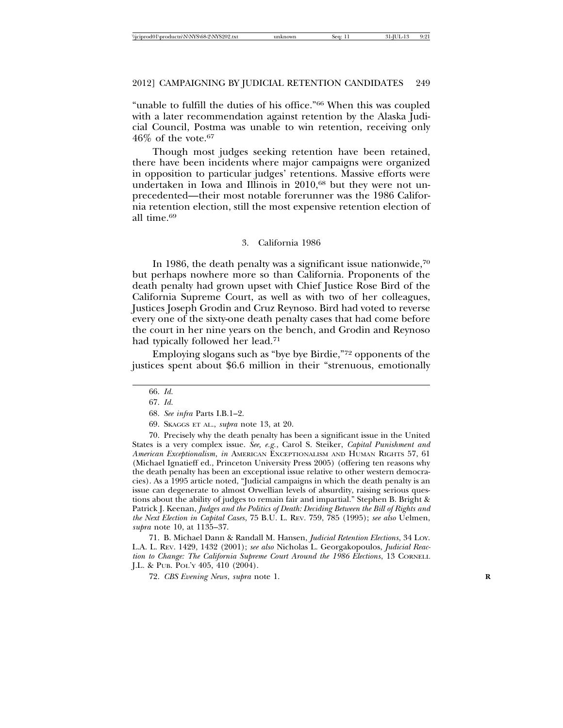"unable to fulfill the duties of his office."66 When this was coupled with a later recommendation against retention by the Alaska Judicial Council, Postma was unable to win retention, receiving only  $46\%$  of the vote.  $67$ 

Though most judges seeking retention have been retained, there have been incidents where major campaigns were organized in opposition to particular judges' retentions. Massive efforts were undertaken in Iowa and Illinois in 2010,<sup>68</sup> but they were not unprecedented—their most notable forerunner was the 1986 California retention election, still the most expensive retention election of all time.69

#### 3. California 1986

In 1986, the death penalty was a significant issue nationwide,  $70$ but perhaps nowhere more so than California. Proponents of the death penalty had grown upset with Chief Justice Rose Bird of the California Supreme Court, as well as with two of her colleagues, Justices Joseph Grodin and Cruz Reynoso. Bird had voted to reverse every one of the sixty-one death penalty cases that had come before the court in her nine years on the bench, and Grodin and Reynoso had typically followed her lead.71

Employing slogans such as "bye bye Birdie,"72 opponents of the justices spent about \$6.6 million in their "strenuous, emotionally

70. Precisely why the death penalty has been a significant issue in the United States is a very complex issue. *See, e.g.*, Carol S. Steiker, *Capital Punishment and American Exceptionalism*, *in* AMERICAN EXCEPTIONALISM AND HUMAN RIGHTS 57, 61 (Michael Ignatieff ed., Princeton University Press 2005) (offering ten reasons why the death penalty has been an exceptional issue relative to other western democracies). As a 1995 article noted, "Judicial campaigns in which the death penalty is an issue can degenerate to almost Orwellian levels of absurdity, raising serious questions about the ability of judges to remain fair and impartial." Stephen B. Bright & Patrick J. Keenan, *Judges and the Politics of Death: Deciding Between the Bill of Rights and the Next Election in Capital Cases*, 75 B.U. L. REV. 759, 785 (1995); *see also* Uelmen, *supra* note 10, at 1135–37.

71. B. Michael Dann & Randall M. Hansen, *Judicial Retention Elections*, 34 LOY. L.A. L. REV. 1429, 1432 (2001); *see also* Nicholas L. Georgakopoulos, *Judicial Reaction to Change: The California Supreme Court Around the 1986 Elections*, 13 CORNELL J.L. & PUB. POL'Y 405, 410 (2004).

72. *CBS Evening News*, *supra* note 1. **R**

<sup>66.</sup> *Id.* 

<sup>67.</sup> *Id.*

<sup>68.</sup> *See infra* Parts I.B.1–2.

<sup>69.</sup> SKAGGS ET AL., *supra* note 13, at 20.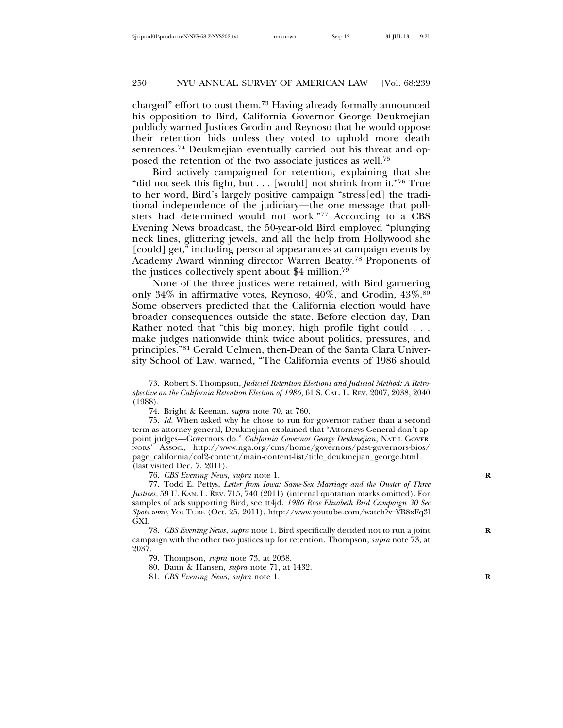charged" effort to oust them.73 Having already formally announced his opposition to Bird, California Governor George Deukmejian publicly warned Justices Grodin and Reynoso that he would oppose their retention bids unless they voted to uphold more death sentences.74 Deukmejian eventually carried out his threat and opposed the retention of the two associate justices as well.75

Bird actively campaigned for retention, explaining that she "did not seek this fight, but . . . [would] not shrink from it."76 True to her word, Bird's largely positive campaign "stress[ed] the traditional independence of the judiciary—the one message that pollsters had determined would not work."77 According to a CBS Evening News broadcast, the 50-year-old Bird employed "plunging neck lines, glittering jewels, and all the help from Hollywood she [could] get," including personal appearances at campaign events by Academy Award winning director Warren Beatty.78 Proponents of the justices collectively spent about \$4 million.79

None of the three justices were retained, with Bird garnering only 34% in affirmative votes, Reynoso,  $40\%$ , and Grodin,  $43\%$ .<sup>80</sup> Some observers predicted that the California election would have broader consequences outside the state. Before election day, Dan Rather noted that "this big money, high profile fight could . . . make judges nationwide think twice about politics, pressures, and principles."81 Gerald Uelmen, then-Dean of the Santa Clara University School of Law, warned, "The California events of 1986 should

76. *CBS Evening News*, *supra* note 1. **R**

77. Todd E. Pettys, *Letter from Iowa: Same-Sex Marriage and the Ouster of Three Justices*, 59 U. KAN. L. REV. 715, 740 (2011) (internal quotation marks omitted). For samples of ads supporting Bird, see tt4jd, *1986 Rose Elizabeth Bird Campaign 30 Sec Spots.wmv*, YOUTUBE (Oct. 25, 2011), http://www.youtube.com/watch?v=YB8xFq3l GXI.

78. *CBS Evening News*, *supra* note 1. Bird specifically decided not to run a joint **R** campaign with the other two justices up for retention. Thompson, *supra* note 73, at 2037.

80. Dann & Hansen, *supra* note 71, at 1432.

81. *CBS Evening News*, *supra* note 1. **R**

<sup>73.</sup> Robert S. Thompson, *Judicial Retention Elections and Judicial Method: A Retrospective on the California Retention Election of 1986*, 61 S. CAL. L. REV. 2007, 2038, 2040 (1988).

<sup>74.</sup> Bright & Keenan, *supra* note 70, at 760.

<sup>75.</sup> *Id.* When asked why he chose to run for governor rather than a second term as attorney general, Deukmejian explained that "Attorneys General don't appoint judges—Governors do." *California Governor George Deukmejian*, NAT'L GOVER-NORS' ASSOC., http://www.nga.org/cms/home/governors/past-governors-bios/ page\_california/col2-content/main-content-list/title\_deukmejian\_george.html (last visited Dec. 7, 2011).

<sup>79.</sup> Thompson, *supra* note 73, at 2038.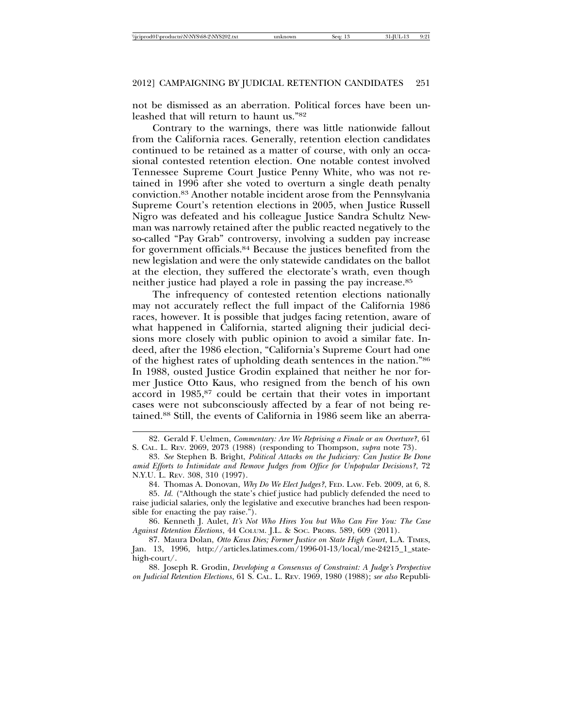not be dismissed as an aberration. Political forces have been unleashed that will return to haunt us."82

Contrary to the warnings, there was little nationwide fallout from the California races. Generally, retention election candidates continued to be retained as a matter of course, with only an occasional contested retention election. One notable contest involved Tennessee Supreme Court Justice Penny White, who was not retained in 1996 after she voted to overturn a single death penalty conviction.83 Another notable incident arose from the Pennsylvania Supreme Court's retention elections in 2005, when Justice Russell Nigro was defeated and his colleague Justice Sandra Schultz Newman was narrowly retained after the public reacted negatively to the so-called "Pay Grab" controversy, involving a sudden pay increase for government officials.84 Because the justices benefited from the new legislation and were the only statewide candidates on the ballot at the election, they suffered the electorate's wrath, even though neither justice had played a role in passing the pay increase.<sup>85</sup>

The infrequency of contested retention elections nationally may not accurately reflect the full impact of the California 1986 races, however. It is possible that judges facing retention, aware of what happened in California, started aligning their judicial decisions more closely with public opinion to avoid a similar fate. Indeed, after the 1986 election, "California's Supreme Court had one of the highest rates of upholding death sentences in the nation."86 In 1988, ousted Justice Grodin explained that neither he nor former Justice Otto Kaus, who resigned from the bench of his own accord in 1985,87 could be certain that their votes in important cases were not subconsciously affected by a fear of not being retained.88 Still, the events of California in 1986 seem like an aberra-

<sup>82.</sup> Gerald F. Uelmen, *Commentary: Are We Reprising a Finale or an Overture?*, 61 S. CAL. L. REV. 2069, 2073 (1988) (responding to Thompson, *supra* note 73).

<sup>83.</sup> *See* Stephen B. Bright, *Political Attacks on the Judiciary: Can Justice Be Done amid Efforts to Intimidate and Remove Judges from Office for Unpopular Decisions?*, 72 N.Y.U. L. REV. 308, 310 (1997).

<sup>84.</sup> Thomas A. Donovan, *Why Do We Elect Judges?*, FED. LAW. Feb. 2009, at 6, 8.

<sup>85.</sup> *Id.* ("Although the state's chief justice had publicly defended the need to raise judicial salaries, only the legislative and executive branches had been responsible for enacting the pay raise.").

<sup>86.</sup> Kenneth J. Aulet, *It's Not Who Hires You but Who Can Fire You: The Case Against Retention Elections*, 44 COLUM. J.L. & SOC. PROBS. 589, 609 (2011).

<sup>87.</sup> Maura Dolan, *Otto Kaus Dies; Former Justice on State High Court*, L.A. TIMES, Jan. 13, 1996, http://articles.latimes.com/1996-01-13/local/me-24215\_1\_statehigh-court/.

<sup>88.</sup> Joseph R. Grodin, *Developing a Consensus of Constraint: A Judge's Perspective on Judicial Retention Elections*, 61 S. CAL. L. REV. 1969, 1980 (1988); *see also* Republi-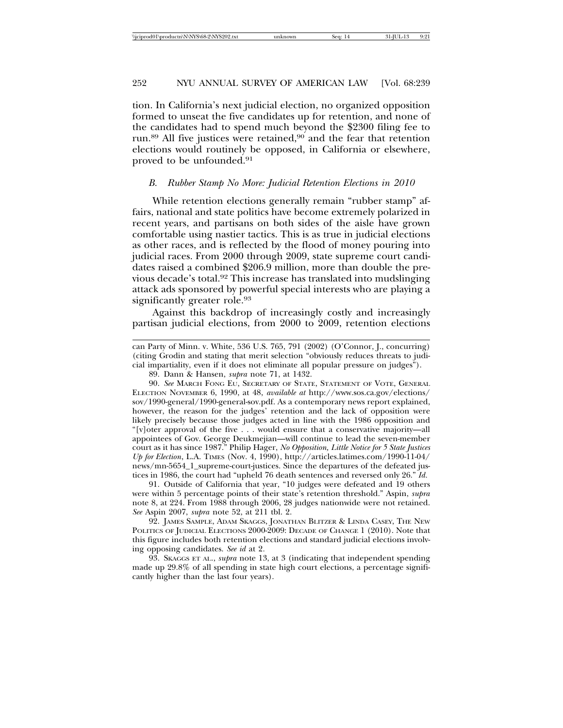tion. In California's next judicial election, no organized opposition formed to unseat the five candidates up for retention, and none of the candidates had to spend much beyond the \$2300 filing fee to run.89 All five justices were retained,90 and the fear that retention elections would routinely be opposed, in California or elsewhere, proved to be unfounded.91

#### *B. Rubber Stamp No More: Judicial Retention Elections in 2010*

While retention elections generally remain "rubber stamp" affairs, national and state politics have become extremely polarized in recent years, and partisans on both sides of the aisle have grown comfortable using nastier tactics. This is as true in judicial elections as other races, and is reflected by the flood of money pouring into judicial races. From 2000 through 2009, state supreme court candidates raised a combined \$206.9 million, more than double the previous decade's total.92 This increase has translated into mudslinging attack ads sponsored by powerful special interests who are playing a significantly greater role.<sup>93</sup>

Against this backdrop of increasingly costly and increasingly partisan judicial elections, from 2000 to 2009, retention elections

91. Outside of California that year, "10 judges were defeated and 19 others were within 5 percentage points of their state's retention threshold." Aspin, *supra* note 8, at 224. From 1988 through 2006, 28 judges nationwide were not retained. *See* Aspin 2007, *supra* note 52, at 211 tbl. 2.

92. JAMES SAMPLE, ADAM SKAGGS, JONATHAN BLITZER & LINDA CASEY, THE NEW POLITICS OF JUDICIAL ELECTIONS 2000-2009: DECADE OF CHANGE 1 (2010). Note that this figure includes both retention elections and standard judicial elections involving opposing candidates. *See id* at 2*.*

93. SKAGGS ET AL., *supra* note 13, at 3 (indicating that independent spending made up 29.8% of all spending in state high court elections, a percentage significantly higher than the last four years).

can Party of Minn. v. White, 536 U.S. 765, 791 (2002) (O'Connor, J., concurring) (citing Grodin and stating that merit selection "obviously reduces threats to judicial impartiality, even if it does not eliminate all popular pressure on judges").

<sup>89.</sup> Dann & Hansen, *supra* note 71, at 1432.

<sup>90.</sup> *See* MARCH FONG EU, SECRETARY OF STATE, STATEMENT OF VOTE, GENERAL ELECTION NOVEMBER 6, 1990, at 48, *available at* http://www.sos.ca.gov/elections/ sov/1990-general/1990-general-sov.pdf. As a contemporary news report explained, however, the reason for the judges' retention and the lack of opposition were likely precisely because those judges acted in line with the 1986 opposition and "[v]oter approval of the five . . . would ensure that a conservative majority—all appointees of Gov. George Deukmejian—will continue to lead the seven-member court as it has since 1987." Philip Hager, *No Opposition, Little Notice for 5 State Justices Up for Election*, L.A. TIMES (Nov. 4, 1990), http://articles.latimes.com/1990-11-04/ news/mn-5654\_1\_supreme-court-justices. Since the departures of the defeated justices in 1986, the court had "upheld 76 death sentences and reversed only 26." *Id.*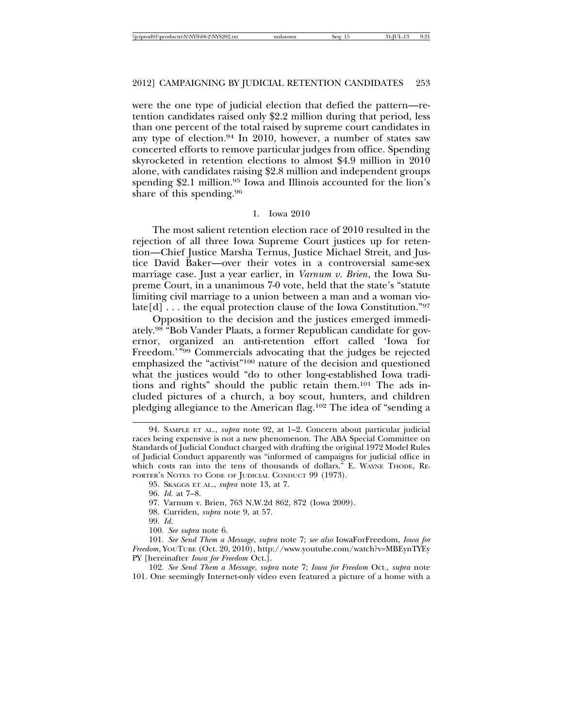were the one type of judicial election that defied the pattern—retention candidates raised only \$2.2 million during that period, less than one percent of the total raised by supreme court candidates in any type of election.94 In 2010, however, a number of states saw concerted efforts to remove particular judges from office. Spending skyrocketed in retention elections to almost \$4.9 million in 2010 alone, with candidates raising \$2.8 million and independent groups spending \$2.1 million.<sup>95</sup> Iowa and Illinois accounted for the lion's share of this spending.96

#### 1. Iowa 2010

The most salient retention election race of 2010 resulted in the rejection of all three Iowa Supreme Court justices up for retention—Chief Justice Marsha Ternus, Justice Michael Streit, and Justice David Baker—over their votes in a controversial same-sex marriage case. Just a year earlier, in *Varnum v. Brien*, the Iowa Supreme Court, in a unanimous 7-0 vote, held that the state's "statute limiting civil marriage to a union between a man and a woman violate[d] ... the equal protection clause of the Iowa Constitution."97

Opposition to the decision and the justices emerged immediately.98 "Bob Vander Plaats, a former Republican candidate for governor, organized an anti-retention effort called 'Iowa for Freedom.'"99 Commercials advocating that the judges be rejected emphasized the "activist"100 nature of the decision and questioned what the justices would "do to other long-established Iowa traditions and rights" should the public retain them.101 The ads included pictures of a church, a boy scout, hunters, and children pledging allegiance to the American flag.102 The idea of "sending a

95. SKAGGS ET AL., *supra* note 13, at 7.

96. *Id.* at 7–8.

99. *Id.*

100. *See supra* note 6.

101. *See Send Them a Message*, *supra* note 7; *see also* IowaForFreedom, *Iowa for Freedom*, YOUTUBE (Oct. 20, 2010), http://www.youtube.com/watch?v=MBEynTYEy PY [hereinafter *Iowa for Freedom* Oct.].

102. *See Send Them a Message*, *supra* note 7; *Iowa for Freedom* Oct., *supra* note 101. One seemingly Internet-only video even featured a picture of a home with a

<sup>94.</sup> SAMPLE ET AL., *supra* note 92, at 1–2. Concern about particular judicial races being expensive is not a new phenomenon. The ABA Special Committee on Standards of Judicial Conduct charged with drafting the original 1972 Model Rules of Judicial Conduct apparently was "informed of campaigns for judicial office in which costs ran into the tens of thousands of dollars." E. WAYNE THODE, RE-PORTER'S NOTES TO CODE OF JUDICIAL CONDUCT 99 (1973).

<sup>97.</sup> Varnum v. Brien, 763 N.W.2d 862, 872 (Iowa 2009).

<sup>98.</sup> Curriden, *supra* note 9, at 57.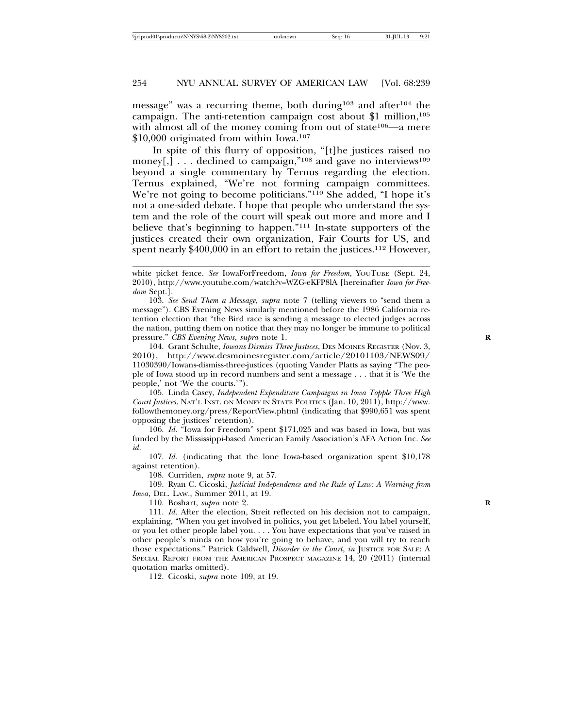message" was a recurring theme, both during103 and after104 the campaign. The anti-retention campaign cost about \$1 million,105 with almost all of the money coming from out of state<sup>106</sup>—a mere  $$10,000$  originated from within Iowa.<sup>107</sup>

In spite of this flurry of opposition, "[t]he justices raised no money[,]  $\ldots$  declined to campaign,"<sup>108</sup> and gave no interviews<sup>109</sup> beyond a single commentary by Ternus regarding the election. Ternus explained, "We're not forming campaign committees. We're not going to become politicians."110 She added, "I hope it's not a one-sided debate. I hope that people who understand the system and the role of the court will speak out more and more and I believe that's beginning to happen."111 In-state supporters of the justices created their own organization, Fair Courts for US, and spent nearly \$400,000 in an effort to retain the justices.<sup>112</sup> However,

105. Linda Casey, *Independent Expenditure Campaigns in Iowa Topple Three High Court Justices*, NAT'L INST. ON MONEY IN STATE POLITICS (Jan. 10, 2011), http://www. followthemoney.org/press/ReportView.phtml (indicating that \$990,651 was spent opposing the justices' retention).

106. *Id.* "Iowa for Freedom" spent \$171,025 and was based in Iowa, but was funded by the Mississippi-based American Family Association's AFA Action Inc. *See id.*

107. *Id.* (indicating that the lone Iowa-based organization spent \$10,178 against retention).

108. Curriden, *supra* note 9, at 57.

109. Ryan C. Cicoski, *Judicial Independence and the Rule of Law: A Warning from Iowa*, DEL. LAW., Summer 2011, at 19.

110. Boshart, *supra* note 2. **R**

111. *Id.* After the election, Streit reflected on his decision not to campaign, explaining, "When you get involved in politics, you get labeled. You label yourself, or you let other people label you. . . . You have expectations that you've raised in other people's minds on how you're going to behave, and you will try to reach those expectations." Patrick Caldwell, *Disorder in the Court*, *in* JUSTICE FOR SALE: A SPECIAL REPORT FROM THE AMERICAN PROSPECT MAGAZINE 14, 20 (2011) (internal quotation marks omitted).

112. Cicoski, *supra* note 109, at 19.

white picket fence. *See* IowaForFreedom, *Iowa for Freedom*, YOUTUBE (Sept. 24, 2010), http://www.youtube.com/watch?v=WZG-eKFP8lA [hereinafter *Iowa for Freedom* Sept.].

<sup>103.</sup> *See Send Them a Message*, *supra* note 7 (telling viewers to "send them a message"). CBS Evening News similarly mentioned before the 1986 California retention election that "the Bird race is sending a message to elected judges across the nation, putting them on notice that they may no longer be immune to political pressure." *CBS Evening News*, *supra* note 1. **R**

<sup>104.</sup> Grant Schulte, *Iowans Dismiss Three Justices*, DES MOINES REGISTER (Nov. 3, 2010), http://www.desmoinesregister.com/article/20101103/NEWS09/ 11030390/Iowans-dismiss-three-justices (quoting Vander Platts as saying "The people of Iowa stood up in record numbers and sent a message . . . that it is 'We the people,' not 'We the courts.'").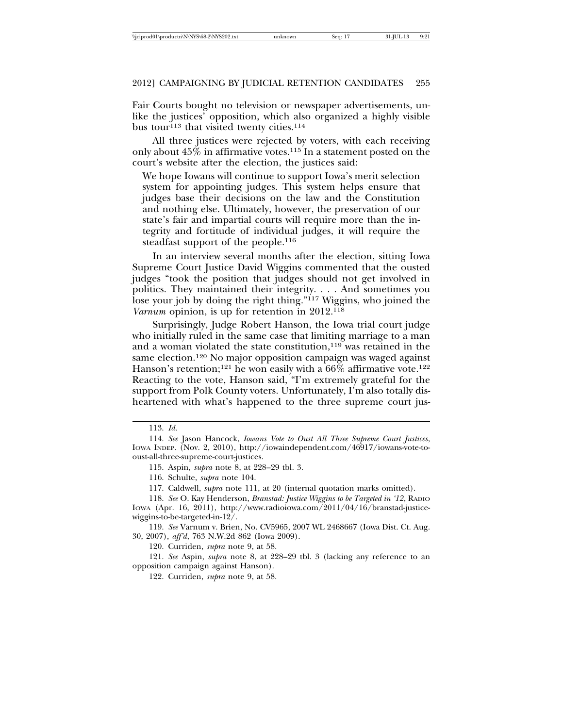Fair Courts bought no television or newspaper advertisements, unlike the justices' opposition, which also organized a highly visible bus tour<sup>113</sup> that visited twenty cities.<sup>114</sup>

All three justices were rejected by voters, with each receiving only about  $45\%$  in affirmative votes.<sup>115</sup> In a statement posted on the court's website after the election, the justices said:

We hope Iowans will continue to support Iowa's merit selection system for appointing judges. This system helps ensure that judges base their decisions on the law and the Constitution and nothing else. Ultimately, however, the preservation of our state's fair and impartial courts will require more than the integrity and fortitude of individual judges, it will require the steadfast support of the people.<sup>116</sup>

In an interview several months after the election, sitting Iowa Supreme Court Justice David Wiggins commented that the ousted judges "took the position that judges should not get involved in politics. They maintained their integrity. . . . And sometimes you lose your job by doing the right thing."<sup>117</sup> Wiggins, who joined the *Varnum* opinion, is up for retention in 2012.118

Surprisingly, Judge Robert Hanson, the Iowa trial court judge who initially ruled in the same case that limiting marriage to a man and a woman violated the state constitution, $119$  was retained in the same election.120 No major opposition campaign was waged against Hanson's retention;<sup>121</sup> he won easily with a  $66\%$  affirmative vote.<sup>122</sup> Reacting to the vote, Hanson said, "I'm extremely grateful for the support from Polk County voters. Unfortunately, I'm also totally disheartened with what's happened to the three supreme court jus-

118. *See* O. Kay Henderson, *Branstad: Justice Wiggins to be Targeted in '12*, RADIO IOWA (Apr. 16, 2011), http://www.radioiowa.com/2011/04/16/branstad-justicewiggins-to-be-targeted-in-12/.

119. *See* Varnum v. Brien, No. CV5965, 2007 WL 2468667 (Iowa Dist. Ct. Aug. 30, 2007), *aff'd*, 763 N.W.2d 862 (Iowa 2009).

120. Curriden, *supra* note 9, at 58.

121. *See* Aspin, *supra* note 8, at 228–29 tbl. 3 (lacking any reference to an opposition campaign against Hanson).

122. Curriden, *supra* note 9, at 58.

<sup>113.</sup> *Id.*

<sup>114.</sup> *See* Jason Hancock, *Iowans Vote to Oust All Three Supreme Court Justices*, IOWA INDEP. (Nov. 2, 2010), http://iowaindependent.com/46917/iowans-vote-tooust-all-three-supreme-court-justices.

<sup>115.</sup> Aspin, *supra* note 8, at 228–29 tbl. 3.

<sup>116.</sup> Schulte, *supra* note 104.

<sup>117.</sup> Caldwell, *supra* note 111, at 20 (internal quotation marks omitted).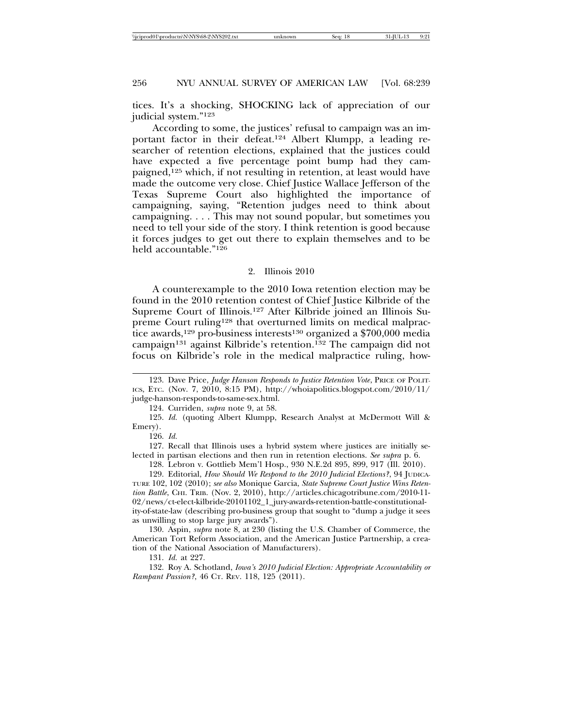tices. It's a shocking, SHOCKING lack of appreciation of our judicial system."123

According to some, the justices' refusal to campaign was an important factor in their defeat.124 Albert Klumpp, a leading researcher of retention elections, explained that the justices could have expected a five percentage point bump had they campaigned,125 which, if not resulting in retention, at least would have made the outcome very close. Chief Justice Wallace Jefferson of the Texas Supreme Court also highlighted the importance of campaigning, saying, "Retention judges need to think about campaigning. . . . This may not sound popular, but sometimes you need to tell your side of the story. I think retention is good because it forces judges to get out there to explain themselves and to be held accountable."126

#### 2. Illinois 2010

A counterexample to the 2010 Iowa retention election may be found in the 2010 retention contest of Chief Justice Kilbride of the Supreme Court of Illinois.127 After Kilbride joined an Illinois Supreme Court ruling128 that overturned limits on medical malpractice awards,<sup>129</sup> pro-business interests<sup>130</sup> organized a \$700,000 media campaign<sup>131</sup> against Kilbride's retention.<sup>132</sup> The campaign did not focus on Kilbride's role in the medical malpractice ruling, how-

125. *Id.* (quoting Albert Klumpp, Research Analyst at McDermott Will & Emery).

126. *Id.*

127. Recall that Illinois uses a hybrid system where justices are initially selected in partisan elections and then run in retention elections. *See supra* p. 6.

128. Lebron v. Gottlieb Mem'l Hosp., 930 N.E.2d 895, 899, 917 (Ill. 2010).

129. Editorial, *How Should We Respond to the 2010 Judicial Elections?*, 94 JUDICA-TURE 102, 102 (2010); *see also* Monique Garcia, *State Supreme Court Justice Wins Retention Battle*, CHI. TRIB. (Nov. 2, 2010), http://articles.chicagotribune.com/2010-11- 02/news/ct-elect-kilbride-20101102\_1\_jury-awards-retention-battle-constitutionality-of-state-law (describing pro-business group that sought to "dump a judge it sees as unwilling to stop large jury awards").

130. Aspin, *supra* note 8, at 230 (listing the U.S. Chamber of Commerce, the American Tort Reform Association, and the American Justice Partnership, a creation of the National Association of Manufacturers).

131. *Id.* at 227.

132. Roy A. Schotland, *Iowa's 2010 Judicial Election: Appropriate Accountability or Rampant Passion?*, 46 CT. REV. 118, 125 (2011).

<sup>123.</sup> Dave Price, *Judge Hanson Responds to Justice Retention Vote*, PRICE OF POLIT-ICS, ETC. (Nov. 7, 2010, 8:15 PM), http://whoiapolitics.blogspot.com/2010/11/ judge-hanson-responds-to-same-sex.html.

<sup>124.</sup> Curriden, *supra* note 9, at 58.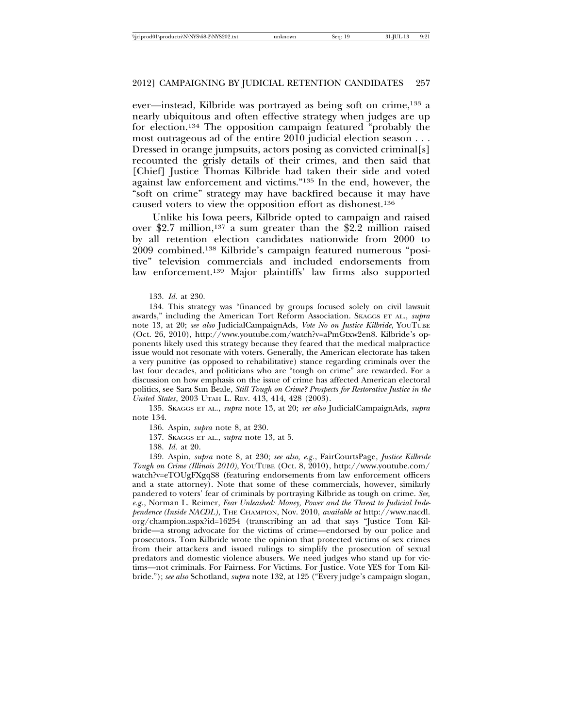ever—instead, Kilbride was portrayed as being soft on crime,133 a nearly ubiquitous and often effective strategy when judges are up for election.134 The opposition campaign featured "probably the most outrageous ad of the entire 2010 judicial election season . . . Dressed in orange jumpsuits, actors posing as convicted criminal[s] recounted the grisly details of their crimes, and then said that [Chief] Justice Thomas Kilbride had taken their side and voted against law enforcement and victims."135 In the end, however, the "soft on crime" strategy may have backfired because it may have caused voters to view the opposition effort as dishonest.136

Unlike his Iowa peers, Kilbride opted to campaign and raised over \$2.7 million,137 a sum greater than the \$2.2 million raised by all retention election candidates nationwide from 2000 to 2009 combined.138 Kilbride's campaign featured numerous "positive" television commercials and included endorsements from law enforcement.139 Major plaintiffs' law firms also supported

135. SKAGGS ET AL., *supra* note 13, at 20; *see also* JudicialCampaignAds, *supra* note 134.

136. Aspin, *supra* note 8, at 230.

137. SKAGGS ET AL., *supra* note 13, at 5.

138. *Id.* at 20.

<sup>133.</sup> *Id.* at 230.

<sup>134.</sup> This strategy was "financed by groups focused solely on civil lawsuit awards," including the American Tort Reform Association. SKAGGS ET AL., *supra* note 13, at 20; *see also* JudicialCampaignAds, *Vote No on Justice Kilbride*, YOUTUBE (Oct. 26, 2010), http://www.youtube.com/watch?v=aPmGtxw2en8. Kilbride's opponents likely used this strategy because they feared that the medical malpractice issue would not resonate with voters. Generally, the American electorate has taken a very punitive (as opposed to rehabilitative) stance regarding criminals over the last four decades, and politicians who are "tough on crime" are rewarded. For a discussion on how emphasis on the issue of crime has affected American electoral politics, see Sara Sun Beale, *Still Tough on Crime? Prospects for Restorative Justice in the United States*, 2003 UTAH L. REV. 413, 414, 428 (2003).

<sup>139.</sup> Aspin, *supra* note 8, at 230; *see also, e.g.*, FairCourtsPage, *Justice Kilbride Tough on Crime (Illinois 2010)*, YOUTUBE (Oct. 8, 2010), http://www.youtube.com/ watch?v=eTOUgFXgqS8 (featuring endorsements from law enforcement officers and a state attorney). Note that some of these commercials, however, similarly pandered to voters' fear of criminals by portraying Kilbride as tough on crime. *See, e.g.*, Norman L. Reimer, *Fear Unleashed: Money, Power and the Threat to Judicial Independence (Inside NACDL)*, THE CHAMPION, Nov. 2010, *available at* http://www.nacdl. org/champion.aspx?id=16254 (transcribing an ad that says "Justice Tom Kilbride—a strong advocate for the victims of crime—endorsed by our police and prosecutors. Tom Kilbride wrote the opinion that protected victims of sex crimes from their attackers and issued rulings to simplify the prosecution of sexual predators and domestic violence abusers. We need judges who stand up for victims—not criminals. For Fairness. For Victims. For Justice. Vote YES for Tom Kilbride."); *see also* Schotland, *supra* note 132, at 125 ("Every judge's campaign slogan,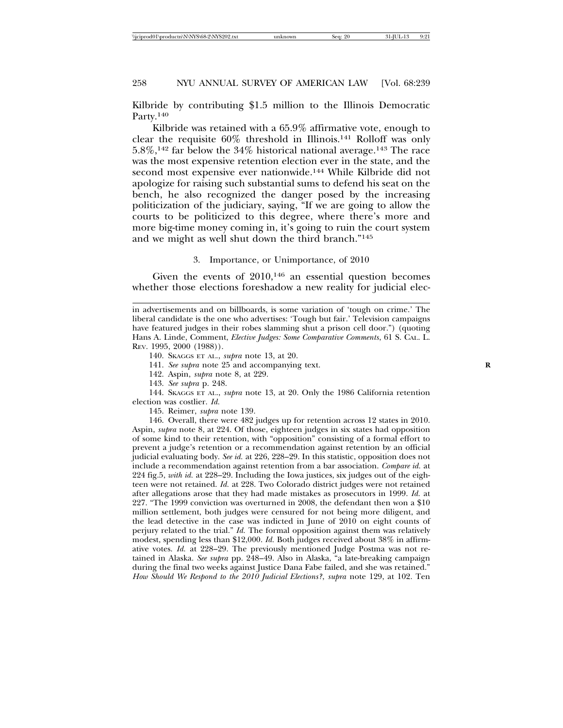Kilbride by contributing \$1.5 million to the Illinois Democratic Party.140

Kilbride was retained with a 65.9% affirmative vote, enough to clear the requisite  $60\%$  threshold in Illinois.<sup>141</sup> Rolloff was only 5.8%,142 far below the 34% historical national average.143 The race was the most expensive retention election ever in the state, and the second most expensive ever nationwide.144 While Kilbride did not apologize for raising such substantial sums to defend his seat on the bench, he also recognized the danger posed by the increasing politicization of the judiciary, saying, "If we are going to allow the courts to be politicized to this degree, where there's more and more big-time money coming in, it's going to ruin the court system and we might as well shut down the third branch."145

3. Importance, or Unimportance, of 2010

Given the events of  $2010$ ,<sup>146</sup> an essential question becomes whether those elections foreshadow a new reality for judicial elec-

140. SKAGGS ET AL., *supra* note 13, at 20.

141. *See supra* note 25 and accompanying text. **R**

142. Aspin, *supra* note 8, at 229.

143. *See supra* p. 248.

144. SKAGGS ET AL., *supra* note 13, at 20. Only the 1986 California retention election was costlier. *Id.*

145. Reimer, *supra* note 139.

146. Overall, there were 482 judges up for retention across 12 states in 2010. Aspin, *supra* note 8, at 224. Of those, eighteen judges in six states had opposition of some kind to their retention, with "opposition" consisting of a formal effort to prevent a judge's retention or a recommendation against retention by an official judicial evaluating body. *See id.* at 226, 228–29. In this statistic, opposition does not include a recommendation against retention from a bar association. *Compare id.* at 224 fig.5, *with id.* at 228–29. Including the Iowa justices, six judges out of the eighteen were not retained. *Id.* at 228. Two Colorado district judges were not retained after allegations arose that they had made mistakes as prosecutors in 1999. *Id.* at 227. "The 1999 conviction was overturned in 2008, the defendant then won a \$10 million settlement, both judges were censured for not being more diligent, and the lead detective in the case was indicted in June of 2010 on eight counts of perjury related to the trial." *Id.* The formal opposition against them was relatively modest, spending less than \$12,000. *Id.* Both judges received about 38% in affirmative votes. *Id.* at 228–29. The previously mentioned Judge Postma was not retained in Alaska. *See supra* pp. 248–49. Also in Alaska, "a late-breaking campaign during the final two weeks against Justice Dana Fabe failed, and she was retained." *How Should We Respond to the 2010 Judicial Elections?*, *supra* note 129, at 102. Ten

in advertisements and on billboards, is some variation of 'tough on crime.' The liberal candidate is the one who advertises: 'Tough but fair.' Television campaigns have featured judges in their robes slamming shut a prison cell door.") (quoting Hans A. Linde, Comment, *Elective Judges: Some Comparative Comments*, 61 S. CAL. L. REV. 1995, 2000 (1988)).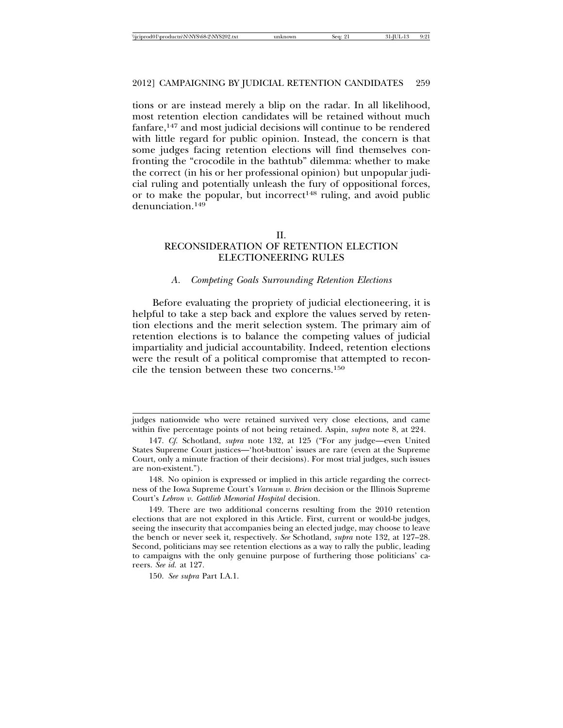tions or are instead merely a blip on the radar. In all likelihood, most retention election candidates will be retained without much fanfare,147 and most judicial decisions will continue to be rendered with little regard for public opinion. Instead, the concern is that some judges facing retention elections will find themselves confronting the "crocodile in the bathtub" dilemma: whether to make the correct (in his or her professional opinion) but unpopular judicial ruling and potentially unleash the fury of oppositional forces, or to make the popular, but incorrect<sup>148</sup> ruling, and avoid public denunciation.149

#### II.

# RECONSIDERATION OF RETENTION ELECTION ELECTIONEERING RULES

#### *A. Competing Goals Surrounding Retention Elections*

Before evaluating the propriety of judicial electioneering, it is helpful to take a step back and explore the values served by retention elections and the merit selection system. The primary aim of retention elections is to balance the competing values of judicial impartiality and judicial accountability. Indeed, retention elections were the result of a political compromise that attempted to reconcile the tension between these two concerns.150

judges nationwide who were retained survived very close elections, and came within five percentage points of not being retained. Aspin, *supra* note 8, at 224.

<sup>147.</sup> *Cf.* Schotland, *supra* note 132, at 125 ("For any judge—even United States Supreme Court justices—'hot-button' issues are rare (even at the Supreme Court, only a minute fraction of their decisions). For most trial judges, such issues are non-existent.").

<sup>148.</sup> No opinion is expressed or implied in this article regarding the correctness of the Iowa Supreme Court's *Varnum v. Brien* decision or the Illinois Supreme Court's *Lebron v. Gottlieb Memorial Hospital* decision.

<sup>149.</sup> There are two additional concerns resulting from the 2010 retention elections that are not explored in this Article. First, current or would-be judges, seeing the insecurity that accompanies being an elected judge, may choose to leave the bench or never seek it, respectively. *See* Schotland, *supra* note 132, at 127–28. Second, politicians may see retention elections as a way to rally the public, leading to campaigns with the only genuine purpose of furthering those politicians' careers. *See id.* at 127*.*

<sup>150.</sup> *See supra* Part I.A.1.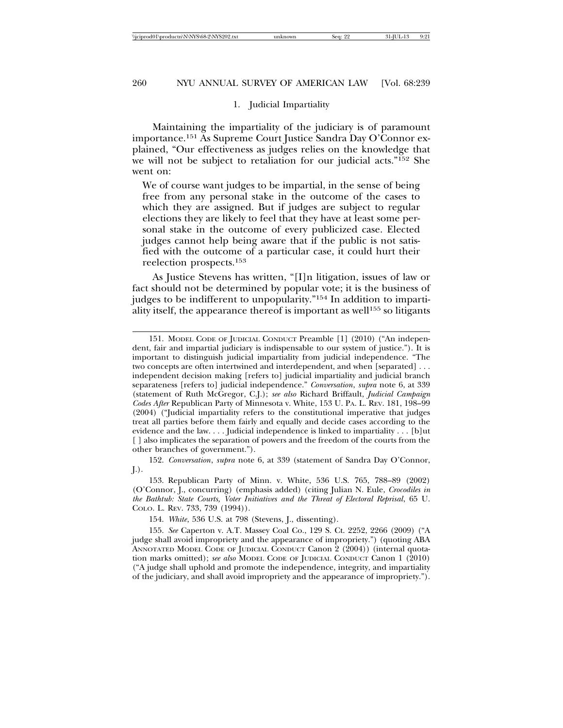# 1. Judicial Impartiality

Maintaining the impartiality of the judiciary is of paramount importance.151 As Supreme Court Justice Sandra Day O'Connor explained, "Our effectiveness as judges relies on the knowledge that we will not be subject to retaliation for our judicial acts."152 She went on:

We of course want judges to be impartial, in the sense of being free from any personal stake in the outcome of the cases to which they are assigned. But if judges are subject to regular elections they are likely to feel that they have at least some personal stake in the outcome of every publicized case. Elected judges cannot help being aware that if the public is not satisfied with the outcome of a particular case, it could hurt their reelection prospects.153

As Justice Stevens has written, "[I]n litigation, issues of law or fact should not be determined by popular vote; it is the business of judges to be indifferent to unpopularity."154 In addition to impartiality itself, the appearance thereof is important as well155 so litigants

152. *Conversation*, *supra* note 6, at 339 (statement of Sandra Day O'Connor, J.).

153. Republican Party of Minn. v. White, 536 U.S. 765, 788–89 (2002) (O'Connor, J., concurring) (emphasis added) (citing Julian N. Eule, *Crocodiles in the Bathtub: State Courts, Voter Initiatives and the Threat of Electoral Reprisal*, 65 U. COLO. L. REV. 733, 739 (1994)).

154. *White*, 536 U.S. at 798 (Stevens, J., dissenting).

155. *See* Caperton v. A.T. Massey Coal Co., 129 S. Ct. 2252, 2266 (2009) ("A judge shall avoid impropriety and the appearance of impropriety.") (quoting ABA ANNOTATED MODEL CODE OF JUDICIAL CONDUCT Canon 2 (2004)) (internal quotation marks omitted); *see also* MODEL CODE OF JUDICIAL CONDUCT Canon 1 (2010) ("A judge shall uphold and promote the independence, integrity, and impartiality of the judiciary, and shall avoid impropriety and the appearance of impropriety.").

<sup>151.</sup> MODEL CODE OF JUDICIAL CONDUCT Preamble [1] (2010) ("An independent, fair and impartial judiciary is indispensable to our system of justice."). It is important to distinguish judicial impartiality from judicial independence. "The two concepts are often intertwined and interdependent, and when [separated] . . . independent decision making [refers to] judicial impartiality and judicial branch separateness [refers to] judicial independence." *Conversation*, *supra* note 6, at 339 (statement of Ruth McGregor, C.J.); *see also* Richard Briffault, *Judicial Campaign Codes After* Republican Party of Minnesota v. White, 153 U. PA. L. REV. 181, 198–99 (2004) ("Judicial impartiality refers to the constitutional imperative that judges treat all parties before them fairly and equally and decide cases according to the evidence and the law. . . . Judicial independence is linked to impartiality . . . [b]ut [ ] also implicates the separation of powers and the freedom of the courts from the other branches of government.").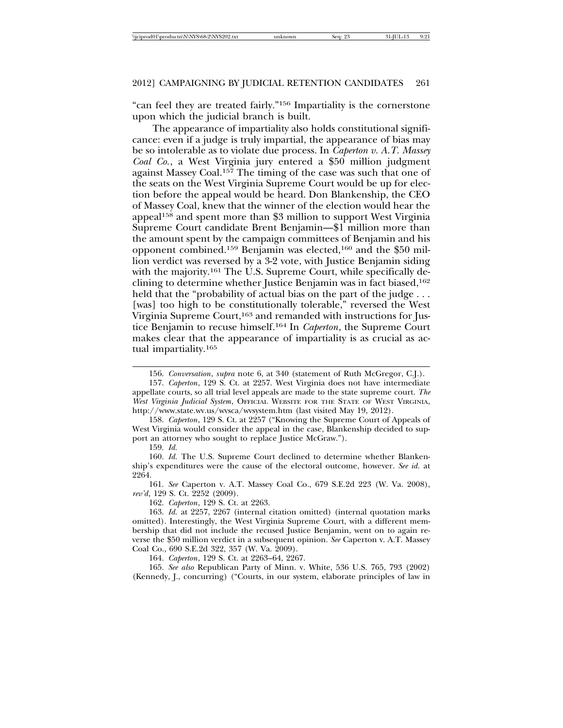"can feel they are treated fairly."156 Impartiality is the cornerstone upon which the judicial branch is built.

The appearance of impartiality also holds constitutional significance: even if a judge is truly impartial, the appearance of bias may be so intolerable as to violate due process. In *Caperton v. A.T. Massey Coal Co.*, a West Virginia jury entered a \$50 million judgment against Massey Coal.157 The timing of the case was such that one of the seats on the West Virginia Supreme Court would be up for election before the appeal would be heard. Don Blankenship, the CEO of Massey Coal, knew that the winner of the election would hear the appeal<sup>158</sup> and spent more than \$3 million to support West Virginia Supreme Court candidate Brent Benjamin—\$1 million more than the amount spent by the campaign committees of Benjamin and his opponent combined.159 Benjamin was elected,160 and the \$50 million verdict was reversed by a 3-2 vote, with Justice Benjamin siding with the majority.<sup>161</sup> The U.S. Supreme Court, while specifically declining to determine whether Justice Benjamin was in fact biased,<sup>162</sup> held that the "probability of actual bias on the part of the judge . . . [was] too high to be constitutionally tolerable," reversed the West Virginia Supreme Court,<sup>163</sup> and remanded with instructions for Justice Benjamin to recuse himself.164 In *Caperton*, the Supreme Court makes clear that the appearance of impartiality is as crucial as actual impartiality.165

161. *See* Caperton v. A.T. Massey Coal Co., 679 S.E.2d 223 (W. Va. 2008), *rev'd*, 129 S. Ct. 2252 (2009).

162. *Caperton*, 129 S. Ct. at 2263.

164. *Caperton*, 129 S. Ct. at 2263–64, 2267.

165. *See also* Republican Party of Minn. v. White, 536 U.S. 765, 793 (2002) (Kennedy, J., concurring) ("Courts, in our system, elaborate principles of law in

<sup>156.</sup> *Conversation*, *supra* note 6, at 340 (statement of Ruth McGregor, C.J.).

<sup>157.</sup> *Caperton*, 129 S. Ct. at 2257. West Virginia does not have intermediate appellate courts, so all trial level appeals are made to the state supreme court. *The West Virginia Judicial System*, OFFICIAL WEBSITE FOR THE STATE OF WEST VIRGINIA, http://www.state.wv.us/wvsca/wvsystem.htm (last visited May 19, 2012).

<sup>158.</sup> *Caperton*, 129 S. Ct. at 2257 ("Knowing the Supreme Court of Appeals of West Virginia would consider the appeal in the case, Blankenship decided to support an attorney who sought to replace Justice McGraw.").

<sup>159.</sup> *Id.*

<sup>160.</sup> *Id.* The U.S. Supreme Court declined to determine whether Blankenship's expenditures were the cause of the electoral outcome, however. *See id.* at 2264.

<sup>163.</sup> *Id.* at 2257, 2267 (internal citation omitted) (internal quotation marks omitted). Interestingly, the West Virginia Supreme Court, with a different membership that did not include the recused Justice Benjamin, went on to again reverse the \$50 million verdict in a subsequent opinion. *See* Caperton v. A.T. Massey Coal Co., 690 S.E.2d 322, 357 (W. Va. 2009).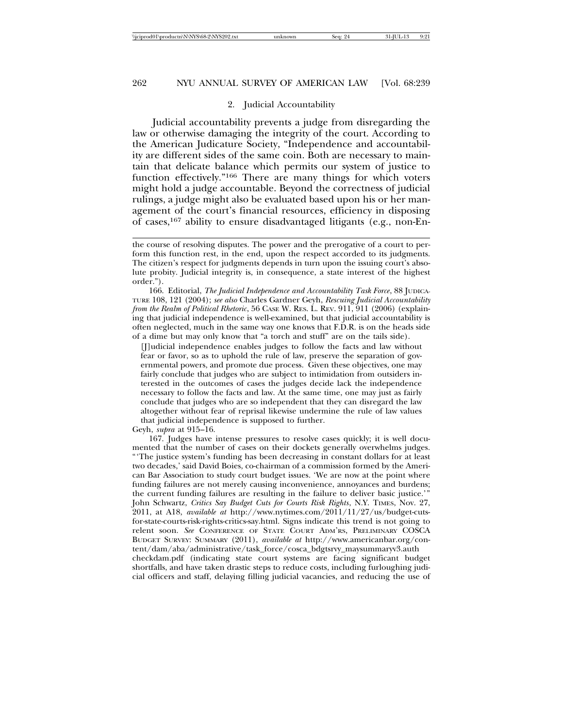# 2. Judicial Accountability

Judicial accountability prevents a judge from disregarding the law or otherwise damaging the integrity of the court. According to the American Judicature Society, "Independence and accountability are different sides of the same coin. Both are necessary to maintain that delicate balance which permits our system of justice to function effectively."166 There are many things for which voters might hold a judge accountable. Beyond the correctness of judicial rulings, a judge might also be evaluated based upon his or her management of the court's financial resources, efficiency in disposing of cases,167 ability to ensure disadvantaged litigants (e.g., non-En-

166. Editorial, *The Judicial Independence and Accountability Task Force*, 88 JUDICA-TURE 108, 121 (2004); *see also* Charles Gardner Geyh, *Rescuing Judicial Accountability from the Realm of Political Rhetoric*, 56 CASE W. RES. L. REV. 911, 911 (2006) (explaining that judicial independence is well-examined, but that judicial accountability is often neglected, much in the same way one knows that F.D.R. is on the heads side of a dime but may only know that "a torch and stuff" are on the tails side).

[J]udicial independence enables judges to follow the facts and law without fear or favor, so as to uphold the rule of law, preserve the separation of governmental powers, and promote due process. Given these objectives, one may fairly conclude that judges who are subject to intimidation from outsiders interested in the outcomes of cases the judges decide lack the independence necessary to follow the facts and law. At the same time, one may just as fairly conclude that judges who are so independent that they can disregard the law altogether without fear of reprisal likewise undermine the rule of law values that judicial independence is supposed to further.

Geyh, *supra* at 915–16.

167. Judges have intense pressures to resolve cases quickly; it is well documented that the number of cases on their dockets generally overwhelms judges. "'The justice system's funding has been decreasing in constant dollars for at least two decades,' said David Boies, co-chairman of a commission formed by the American Bar Association to study court budget issues. 'We are now at the point where funding failures are not merely causing inconvenience, annoyances and burdens; the current funding failures are resulting in the failure to deliver basic justice.'" John Schwartz, *Critics Say Budget Cuts for Courts Risk Rights*, N.Y. TIMES, Nov. 27, 2011, at A18, *available at* http://www.nytimes.com/2011/11/27/us/budget-cutsfor-state-courts-risk-rights-critics-say.html. Signs indicate this trend is not going to relent soon. *See* CONFERENCE OF STATE COURT ADM'RS, PRELIMINARY COSCA BUDGET SURVEY: SUMMARY (2011), *available at* http://www.americanbar.org/content/dam/aba/administrative/task\_force/cosca\_bdgtsrvy\_maysummaryv3.auth checkdam.pdf (indicating state court systems are facing significant budget shortfalls, and have taken drastic steps to reduce costs, including furloughing judicial officers and staff, delaying filling judicial vacancies, and reducing the use of

the course of resolving disputes. The power and the prerogative of a court to perform this function rest, in the end, upon the respect accorded to its judgments. The citizen's respect for judgments depends in turn upon the issuing court's absolute probity. Judicial integrity is, in consequence, a state interest of the highest order.").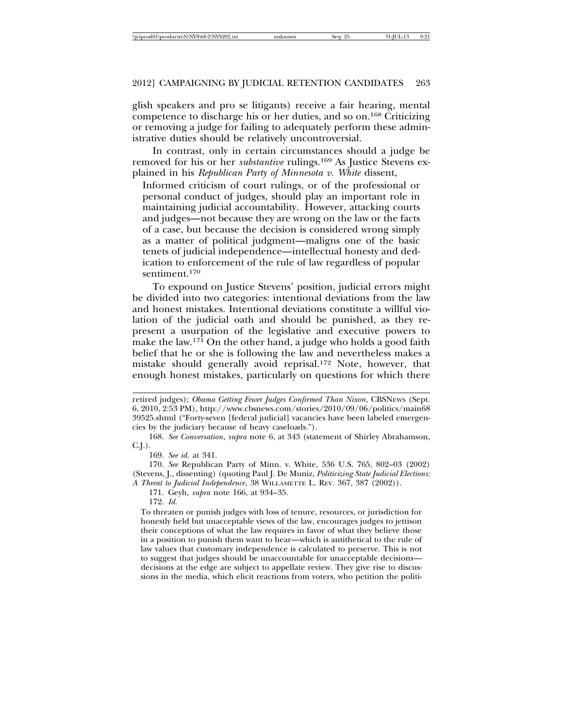glish speakers and pro se litigants) receive a fair hearing, mental competence to discharge his or her duties, and so on.168 Criticizing or removing a judge for failing to adequately perform these administrative duties should be relatively uncontroversial.

In contrast, only in certain circumstances should a judge be removed for his or her *substantive* rulings.169 As Justice Stevens explained in his *Republican Party of Minnesota v. White* dissent,

Informed criticism of court rulings, or of the professional or personal conduct of judges, should play an important role in maintaining judicial accountability. However, attacking courts and judges—not because they are wrong on the law or the facts of a case, but because the decision is considered wrong simply as a matter of political judgment—maligns one of the basic tenets of judicial independence—intellectual honesty and dedication to enforcement of the rule of law regardless of popular sentiment.170

To expound on Justice Stevens' position, judicial errors might be divided into two categories: intentional deviations from the law and honest mistakes. Intentional deviations constitute a willful violation of the judicial oath and should be punished, as they represent a usurpation of the legislative and executive powers to make the law.171 On the other hand, a judge who holds a good faith belief that he or she is following the law and nevertheless makes a mistake should generally avoid reprisal.172 Note, however, that enough honest mistakes, particularly on questions for which there

169. *See id.* at 341.

170. *See* Republican Party of Minn. v. White, 536 U.S. 765, 802–03 (2002) (Stevens, J., dissenting) (quoting Paul J. De Muniz, *Politicizing State Judicial Elections: A Threat to Judicial Independence*, 38 WILLAMETTE L. REV. 367, 387 (2002)).

171. Geyh, *supra* note 166, at 934–35.

172. *Id.*

To threaten or punish judges with loss of tenure, resources, or jurisdiction for honestly held but unacceptable views of the law, encourages judges to jettison their conceptions of what the law requires in favor of what they believe those in a position to punish them want to hear—which is antithetical to the rule of law values that customary independence is calculated to preserve. This is not to suggest that judges should be unaccountable for unacceptable decisions decisions at the edge are subject to appellate review. They give rise to discussions in the media, which elicit reactions from voters, who petition the politi-

retired judges); *Obama Getting Fewer Judges Confirmed Than Nixon*, CBSNEWS (Sept. 6, 2010, 2:53 PM), http://www.cbsnews.com/stories/2010/09/06/politics/main68 39525.shtml ("Forty-seven [federal judicial] vacancies have been labeled emergencies by the judiciary because of heavy caseloads.").

<sup>168.</sup> *See Conversation*, *supra* note 6, at 343 (statement of Shirley Abrahamson,  $C.I.$ ).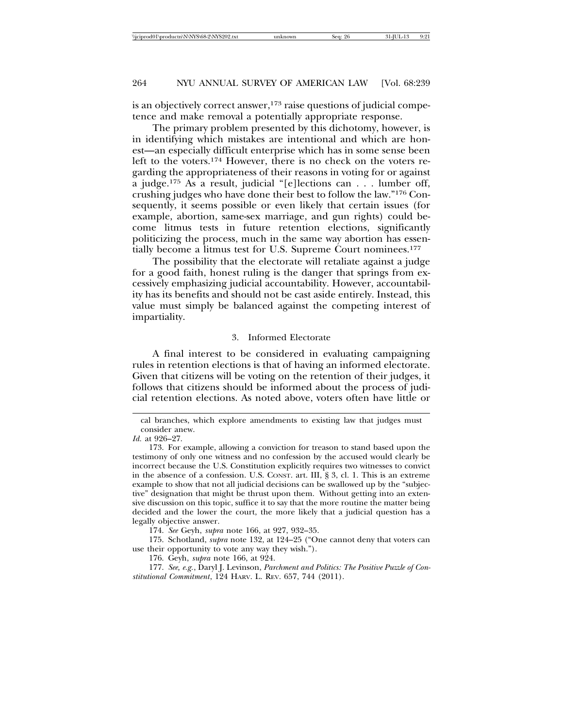is an objectively correct answer,<sup>173</sup> raise questions of judicial competence and make removal a potentially appropriate response.

The primary problem presented by this dichotomy, however, is in identifying which mistakes are intentional and which are honest—an especially difficult enterprise which has in some sense been left to the voters.174 However, there is no check on the voters regarding the appropriateness of their reasons in voting for or against a judge.175 As a result, judicial "[e]lections can . . . lumber off, crushing judges who have done their best to follow the law."176 Consequently, it seems possible or even likely that certain issues (for example, abortion, same-sex marriage, and gun rights) could become litmus tests in future retention elections, significantly politicizing the process, much in the same way abortion has essentially become a litmus test for U.S. Supreme Court nominees.177

The possibility that the electorate will retaliate against a judge for a good faith, honest ruling is the danger that springs from excessively emphasizing judicial accountability. However, accountability has its benefits and should not be cast aside entirely. Instead, this value must simply be balanced against the competing interest of impartiality.

### 3. Informed Electorate

A final interest to be considered in evaluating campaigning rules in retention elections is that of having an informed electorate. Given that citizens will be voting on the retention of their judges, it follows that citizens should be informed about the process of judicial retention elections. As noted above, voters often have little or

cal branches, which explore amendments to existing law that judges must consider anew.

*Id.* at 926–27.

<sup>173.</sup> For example, allowing a conviction for treason to stand based upon the testimony of only one witness and no confession by the accused would clearly be incorrect because the U.S. Constitution explicitly requires two witnesses to convict in the absence of a confession. U.S. CONST. art. III, § 3, cl. 1. This is an extreme example to show that not all judicial decisions can be swallowed up by the "subjective" designation that might be thrust upon them. Without getting into an extensive discussion on this topic, suffice it to say that the more routine the matter being decided and the lower the court, the more likely that a judicial question has a legally objective answer.

<sup>174.</sup> *See* Geyh, *supra* note 166, at 927, 932–35.

<sup>175.</sup> Schotland, *supra* note 132, at 124–25 ("One cannot deny that voters can use their opportunity to vote any way they wish.").

<sup>176.</sup> Geyh, *supra* note 166, at 924.

<sup>177.</sup> *See, e.g.*, Daryl J. Levinson, *Parchment and Politics: The Positive Puzzle of Constitutional Commitment*, 124 HARV. L. REV. 657, 744 (2011).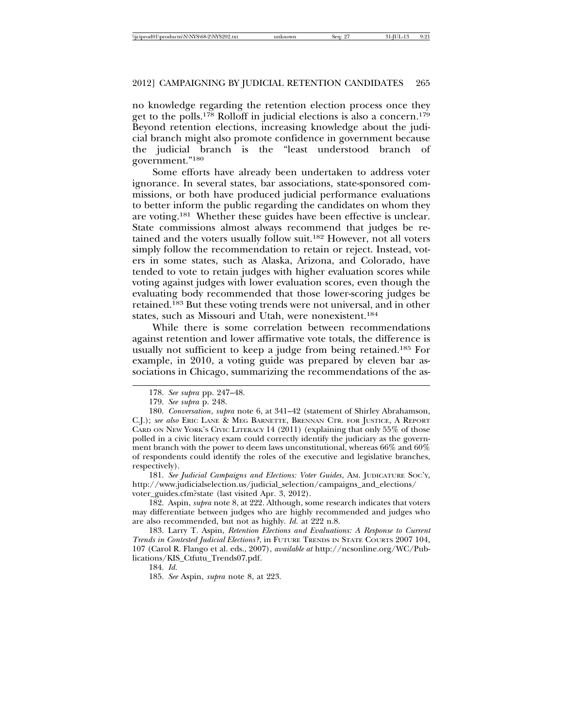no knowledge regarding the retention election process once they get to the polls.178 Rolloff in judicial elections is also a concern.179 Beyond retention elections, increasing knowledge about the judicial branch might also promote confidence in government because the judicial branch is the "least understood branch of government."180

Some efforts have already been undertaken to address voter ignorance. In several states, bar associations, state-sponsored commissions, or both have produced judicial performance evaluations to better inform the public regarding the candidates on whom they are voting.181 Whether these guides have been effective is unclear. State commissions almost always recommend that judges be retained and the voters usually follow suit.182 However, not all voters simply follow the recommendation to retain or reject. Instead, voters in some states, such as Alaska, Arizona, and Colorado, have tended to vote to retain judges with higher evaluation scores while voting against judges with lower evaluation scores, even though the evaluating body recommended that those lower-scoring judges be retained.183 But these voting trends were not universal, and in other states, such as Missouri and Utah, were nonexistent.184

While there is some correlation between recommendations against retention and lower affirmative vote totals, the difference is usually not sufficient to keep a judge from being retained.185 For example, in 2010, a voting guide was prepared by eleven bar associations in Chicago, summarizing the recommendations of the as-

181. *See Judicial Campaigns and Elections: Voter Guides*, AM. JUDICATURE SOC'Y, http://www.judicialselection.us/judicial\_selection/campaigns\_and\_elections/ voter\_guides.cfm?state (last visited Apr. 3, 2012).

182. Aspin, *supra* note 8, at 222. Although, some research indicates that voters may differentiate between judges who are highly recommended and judges who are also recommended, but not as highly. *Id.* at 222 n.8.

<sup>178.</sup> *See supra* pp. 247–48.

<sup>179.</sup> *See supra* p. 248.

<sup>180.</sup> *Conversation*, *supra* note 6, at 341–42 (statement of Shirley Abrahamson, C.J.); *see also* ERIC LANE & MEG BARNETTE, BRENNAN CTR. FOR JUSTICE, A REPORT CARD ON NEW YORK'S CIVIC LITERACY 14 (2011) (explaining that only 55% of those polled in a civic literacy exam could correctly identify the judiciary as the government branch with the power to deem laws unconstitutional, whereas 66% and 60% of respondents could identify the roles of the executive and legislative branches, respectively).

<sup>183.</sup> Larry T. Aspin, *Retention Elections and Evaluations: A Response to Current Trends in Contested Judicial Elections?*, in FUTURE TRENDS IN STATE COURTS 2007 104, 107 (Carol R. Flango et al. eds., 2007), *available at* http://ncsonline.org/WC/Publications/KIS\_Ctfutu\_Trends07.pdf.

<sup>184.</sup> *Id.*

<sup>185.</sup> *See* Aspin, *supra* note 8, at 223.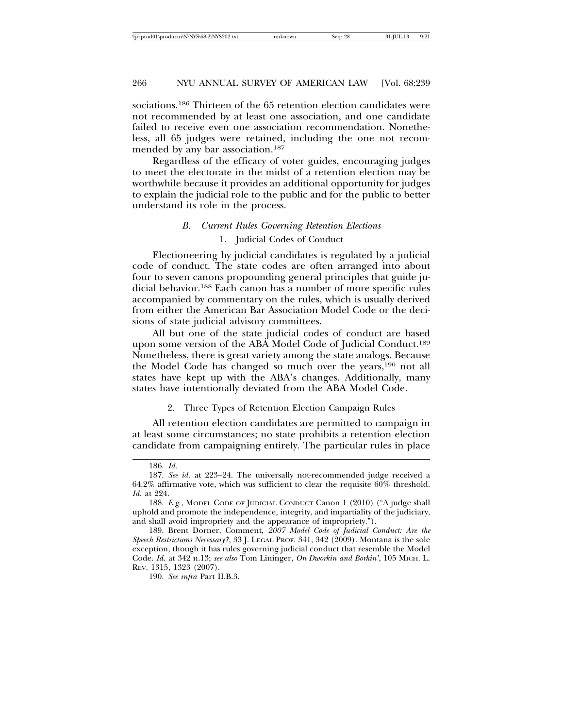sociations.186 Thirteen of the 65 retention election candidates were not recommended by at least one association, and one candidate failed to receive even one association recommendation. Nonetheless, all 65 judges were retained, including the one not recommended by any bar association.187

Regardless of the efficacy of voter guides, encouraging judges to meet the electorate in the midst of a retention election may be worthwhile because it provides an additional opportunity for judges to explain the judicial role to the public and for the public to better understand its role in the process.

# *B. Current Rules Governing Retention Elections*

# 1. Judicial Codes of Conduct

Electioneering by judicial candidates is regulated by a judicial code of conduct. The state codes are often arranged into about four to seven canons propounding general principles that guide judicial behavior.188 Each canon has a number of more specific rules accompanied by commentary on the rules, which is usually derived from either the American Bar Association Model Code or the decisions of state judicial advisory committees.

All but one of the state judicial codes of conduct are based upon some version of the ABA Model Code of Judicial Conduct.189 Nonetheless, there is great variety among the state analogs. Because the Model Code has changed so much over the years,190 not all states have kept up with the ABA's changes. Additionally, many states have intentionally deviated from the ABA Model Code.

# 2. Three Types of Retention Election Campaign Rules

All retention election candidates are permitted to campaign in at least some circumstances; no state prohibits a retention election candidate from campaigning entirely. The particular rules in place

190. *See infra* Part II.B.3.

<sup>186.</sup> *Id.*

<sup>187.</sup> *See id.* at 223–24. The universally not-recommended judge received a 64.2% affirmative vote, which was sufficient to clear the requisite 60% threshold. *Id.* at 224.

<sup>188.</sup> *E.g.*, MODEL CODE OF JUDICIAL CONDUCT Canon 1 (2010) ("A judge shall uphold and promote the independence, integrity, and impartiality of the judiciary, and shall avoid impropriety and the appearance of impropriety.").

<sup>189.</sup> Brent Dorner, Comment, *2007 Model Code of Judicial Conduct: Are the Speech Restrictions Necessary?*, 33 J. LEGAL PROF. 341, 342 (2009). Montana is the sole exception, though it has rules governing judicial conduct that resemble the Model Code. *Id.* at 342 n.13; *see also* Tom Lininger, *On Dworkin and Borkin'*, 105 MICH. L. REV. 1315, 1323 (2007).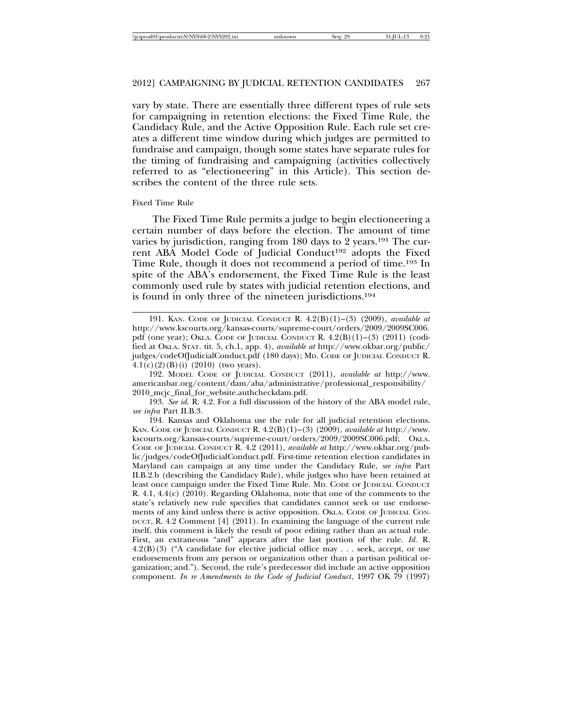vary by state. There are essentially three different types of rule sets for campaigning in retention elections: the Fixed Time Rule, the Candidacy Rule, and the Active Opposition Rule. Each rule set creates a different time window during which judges are permitted to fundraise and campaign, though some states have separate rules for the timing of fundraising and campaigning (activities collectively referred to as "electioneering" in this Article). This section describes the content of the three rule sets.

#### Fixed Time Rule

The Fixed Time Rule permits a judge to begin electioneering a certain number of days before the election. The amount of time varies by jurisdiction, ranging from 180 days to 2 years.191 The current ABA Model Code of Judicial Conduct<sup>192</sup> adopts the Fixed Time Rule, though it does not recommend a period of time.193 In spite of the ABA's endorsement, the Fixed Time Rule is the least commonly used rule by states with judicial retention elections, and is found in only three of the nineteen jurisdictions.194

<sup>191.</sup> KAN. CODE OF JUDICIAL CONDUCT R. 4.2(B)(1)–(3) (2009), *available at* http://www.kscourts.org/kansas-courts/supreme-court/orders/2009/2009SC006. pdf (one year); OKLA. CODE OF JUDICIAL CONDUCT R.  $4.2(B)(1)-(3)$  (2011) (codified at OKLA. STAT. tit. 5, ch.1, app. 4), *available at* http://www.okbar.org/public/ judges/codeOfJudicialConduct.pdf (180 days); MD. CODE OF JUDICIAL CONDUCT R.  $4.1(c)(2)(B)(i)$  (2010) (two years).

<sup>192.</sup> MODEL CODE OF JUDICIAL CONDUCT (2011), *available at* http://www. americanbar.org/content/dam/aba/administrative/professional\_responsibility/ 2010\_mcjc\_final\_for\_website.authcheckdam.pdf.

<sup>193.</sup> *See id*. R. 4.2. For a full discussion of the history of the ABA model rule, *see infra* Part II.B.3*.*

<sup>194.</sup> Kansas and Oklahoma use the rule for all judicial retention elections. KAN. CODE OF JUDICIAL CONDUCT R. 4.2(B)(1)–(3) (2009), *available at* http://www. kscourts.org/kansas-courts/supreme-court/orders/2009/2009SC006.pdf; OKLA. CODE OF JUDICIAL CONDUCT R. 4.2 (2011), *available at* http://www.okbar.org/public/judges/codeOfJudicialConduct.pdf. First-time retention election candidates in Maryland can campaign at any time under the Candidacy Rule, *see infra* Part II.B.2.b (describing the Candidacy Rule), while judges who have been retained at least once campaign under the Fixed Time Rule. MD. CODE OF JUDICIAL CONDUCT R. 4.1, 4.4(c) (2010). Regarding Oklahoma, note that one of the comments to the state's relatively new rule specifies that candidates cannot seek or use endorsements of any kind unless there is active opposition. OKLA. CODE OF JUDICIAL CON-DUCT, R. 4.2 Comment [4] (2011). In examining the language of the current rule itself, this comment is likely the result of poor editing rather than an actual rule. First, an extraneous "and" appears after the last portion of the rule. *Id.* R.  $4.2(B)(3)$  ("A candidate for elective judicial office may . . . seek, accept, or use endorsements from any person or organization other than a partisan political organization; and."). Second, the rule's predecessor did include an active opposition component. *In re Amendments to the Code of Judicial Conduct*, 1997 OK 79 (1997)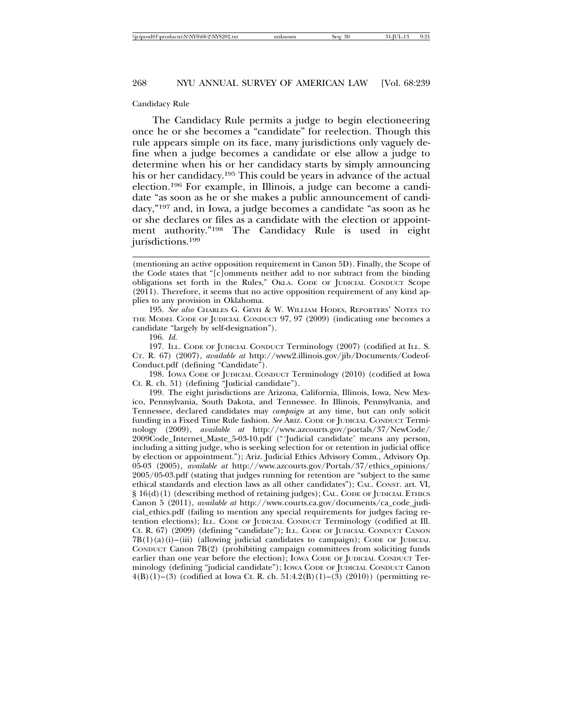#### Candidacy Rule

The Candidacy Rule permits a judge to begin electioneering once he or she becomes a "candidate" for reelection. Though this rule appears simple on its face, many jurisdictions only vaguely define when a judge becomes a candidate or else allow a judge to determine when his or her candidacy starts by simply announcing his or her candidacy.195 This could be years in advance of the actual election.196 For example, in Illinois, a judge can become a candidate "as soon as he or she makes a public announcement of candidacy,"197 and, in Iowa, a judge becomes a candidate "as soon as he or she declares or files as a candidate with the election or appointment authority."198 The Candidacy Rule is used in eight jurisdictions.<sup>199</sup>

195. *See also* CHARLES G. GEYH & W. WILLIAM HODES, REPORTERS' NOTES TO THE MODEL CODE OF JUDICIAL CONDUCT 97, 97 (2009) (indicating one becomes a candidate "largely by self-designation").

197. ILL. CODE OF JUDICIAL CONDUCT Terminology (2007) (codified at ILL. S. CT. R. 67) (2007), *available at* http://www2.illinois.gov/jib/Documents/Codeof-Conduct.pdf (defining "Candidate").

198. IOWA CODE OF JUDICIAL CONDUCT Terminology (2010) (codified at Iowa Ct. R. ch. 51) (defining "Judicial candidate").

199. The eight jurisdictions are Arizona, California, Illinois, Iowa, New Mexico, Pennsylvania, South Dakota, and Tennessee. In Illinois, Pennsylvania, and Tennessee, declared candidates may *campaign* at any time, but can only solicit funding in a Fixed Time Rule fashion. *See* ARIZ. CODE OF JUDICIAL CONDUCT Terminology (2009), *available at* http://www.azcourts.gov/portals/37/NewCode/ 2009Code\_Internet\_Maste\_5-03-10.pdf ("'Judicial candidate' means any person, including a sitting judge, who is seeking selection for or retention in judicial office by election or appointment."); Ariz. Judicial Ethics Advisory Comm., Advisory Op. 05-03 (2005), *available at* http://www.azcourts.gov/Portals/37/ethics\_opinions/ 2005/05-03.pdf (stating that judges running for retention are "subject to the same ethical standards and election laws as all other candidates"); CAL. CONST. art. VI, § 16(d)(1) (describing method of retaining judges); CAL. CODE OF JUDICIAL ETHICS Canon 5 (2011), *available at* http://www.courts.ca.gov/documents/ca\_code\_judicial\_ethics.pdf (failing to mention any special requirements for judges facing retention elections); ILL. CODE OF JUDICIAL CONDUCT Terminology (codified at Ill. Ct. R. 67) (2009) (defining "candidate"); ILL. CODE OF JUDICIAL CONDUCT CANON  $7B(1)(a)(i)$ –(iii) (allowing judicial candidates to campaign); CODE OF JUDICIAL CONDUCT Canon 7B(2) (prohibiting campaign committees from soliciting funds earlier than one year before the election); IOWA CODE OF JUDICIAL CONDUCT Terminology (defining "judicial candidate"); IOWA CODE OF JUDICIAL CONDUCT Canon  $4(B)(1)-(3)$  (codified at Iowa Ct. R. ch. 51:4.2(B)(1)–(3) (2010)) (permitting re-

<sup>(</sup>mentioning an active opposition requirement in Canon 5D). Finally, the Scope of the Code states that "[c]omments neither add to nor subtract from the binding obligations set forth in the Rules," OKLA. CODE OF JUDICIAL CONDUCT Scope (2011). Therefore, it seems that no active opposition requirement of any kind applies to any provision in Oklahoma.

<sup>196.</sup> *Id.*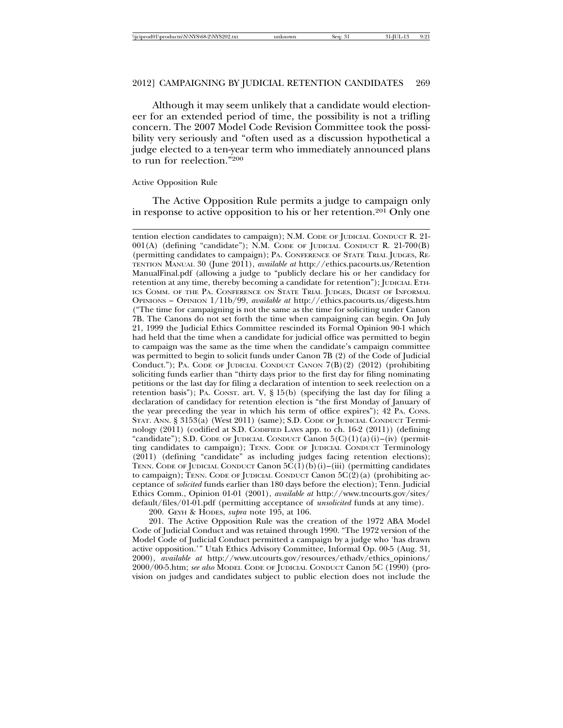\\jciprod01\productn\N\NYS\68-2\NYS202.txt unknown Seq: 31 31-JUL-13 9:21

#### 2012] CAMPAIGNING BY JUDICIAL RETENTION CANDIDATES 269

Although it may seem unlikely that a candidate would electioneer for an extended period of time, the possibility is not a trifling concern. The 2007 Model Code Revision Committee took the possibility very seriously and "often used as a discussion hypothetical a judge elected to a ten-year term who immediately announced plans to run for reelection."200

#### Active Opposition Rule

The Active Opposition Rule permits a judge to campaign only in response to active opposition to his or her retention.201 Only one

200. GEYH & HODES, *supra* note 195, at 106.

201. The Active Opposition Rule was the creation of the 1972 ABA Model Code of Judicial Conduct and was retained through 1990. "The 1972 version of the Model Code of Judicial Conduct permitted a campaign by a judge who 'has drawn active opposition.'" Utah Ethics Advisory Committee, Informal Op. 00-5 (Aug. 31, 2000), *available at* http://www.utcourts.gov/resources/ethadv/ethics\_opinions/ 2000/00-5.htm; *see also* MODEL CODE OF JUDICIAL CONDUCT Canon 5C (1990) (provision on judges and candidates subject to public election does not include the

tention election candidates to campaign); N.M. CODE OF JUDICIAL CONDUCT R. 21- 001(A) (defining "candidate"); N.M. CODE OF JUDICIAL CONDUCT R. 21-700(B) (permitting candidates to campaign); PA. CONFERENCE OF STATE TRIAL JUDGES, RE-TENTION MANUAL 30 (June 2011), *available at* http://ethics.pacourts.us/Retention ManualFinal.pdf (allowing a judge to "publicly declare his or her candidacy for retention at any time, thereby becoming a candidate for retention"); JUDICIAL ETH-ICS COMM. OF THE PA. CONFERENCE ON STATE TRIAL JUDGES, DIGEST OF INFORMAL OPINIONS – OPINION 1/11b/99, *available at* http://ethics.pacourts.us/digests.htm ("The time for campaigning is not the same as the time for soliciting under Canon 7B. The Canons do not set forth the time when campaigning can begin. On July 21, 1999 the Judicial Ethics Committee rescinded its Formal Opinion 90-1 which had held that the time when a candidate for judicial office was permitted to begin to campaign was the same as the time when the candidate's campaign committee was permitted to begin to solicit funds under Canon 7B (2) of the Code of Judicial Conduct."); PA. CODE OF JUDICIAL CONDUCT CANON  $7(B)(2)$  (2012) (prohibiting soliciting funds earlier than "thirty days prior to the first day for filing nominating petitions or the last day for filing a declaration of intention to seek reelection on a retention basis"); PA. CONST. art. V,  $\S 15(b)$  (specifying the last day for filing a declaration of candidacy for retention election is "the first Monday of January of the year preceding the year in which his term of office expires"); 42 PA. CONS. STAT. ANN. § 3153(a) (West 2011) (same); S.D. CODE OF JUDICIAL CONDUCT Terminology (2011) (codified at S.D. CODIFIED LAWS app. to ch. 16-2 (2011)) (defining "candidate"); S.D. CODE OF JUDICIAL CONDUCT Canon  $5(C)(1)(a)(i)$ –(iv) (permitting candidates to campaign); TENN. CODE OF JUDICIAL CONDUCT Terminology (2011) (defining "candidate" as including judges facing retention elections); TENN. CODE OF JUDICIAL CONDUCT Canon 5C(1)(b)(i)–(iii) (permitting candidates to campaign); TENN. CODE OF JUDICIAL CONDUCT Canon  $5C(2)(a)$  (prohibiting acceptance of *solicited* funds earlier than 180 days before the election); Tenn. Judicial Ethics Comm., Opinion 01-01 (2001), *available at* http://www.tncourts.gov/sites/ default/files/01-01.pdf (permitting acceptance of *unsolicited* funds at any time).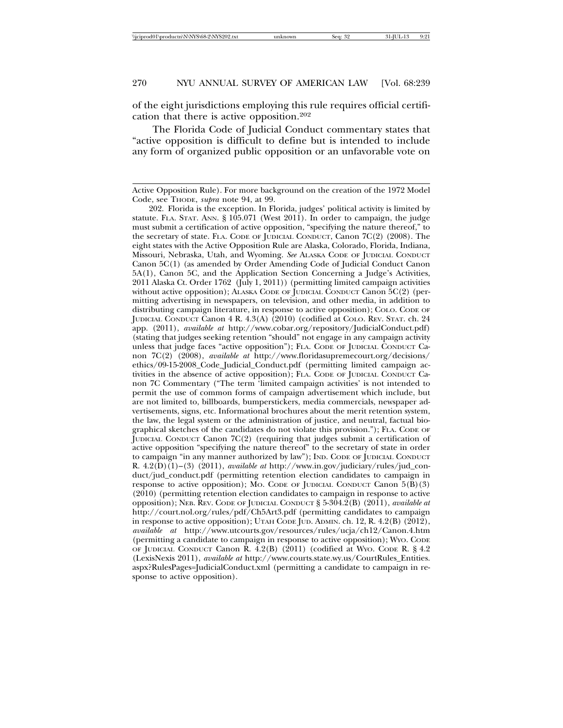of the eight jurisdictions employing this rule requires official certification that there is active opposition.202

The Florida Code of Judicial Conduct commentary states that "active opposition is difficult to define but is intended to include any form of organized public opposition or an unfavorable vote on

Active Opposition Rule). For more background on the creation of the 1972 Model Code, see THODE, *supra* note 94, at 99.

<sup>202.</sup> Florida is the exception. In Florida, judges' political activity is limited by statute. FLA. STAT. ANN. § 105.071 (West 2011). In order to campaign, the judge must submit a certification of active opposition, "specifying the nature thereof," to the secretary of state. FLA. CODE OF JUDICIAL CONDUCT, Canon 7C(2) (2008). The eight states with the Active Opposition Rule are Alaska, Colorado, Florida, Indiana, Missouri, Nebraska, Utah, and Wyoming. *See* ALASKA CODE OF JUDICIAL CONDUCT Canon 5C(1) (as amended by Order Amending Code of Judicial Conduct Canon 5A(1), Canon 5C, and the Application Section Concerning a Judge's Activities, 2011 Alaska Ct. Order 1762 (July 1, 2011)) (permitting limited campaign activities without active opposition); ALASKA CODE OF JUDICIAL CONDUCT Canon 5C(2) (permitting advertising in newspapers, on television, and other media, in addition to distributing campaign literature, in response to active opposition); COLO. CODE OF JUDICIAL CONDUCT Canon 4 R. 4.3(A) (2010) (codified at COLO. REV. STAT. ch. 24 app. (2011), *available at* http://www.cobar.org/repository/JudicialConduct.pdf) (stating that judges seeking retention "should" not engage in any campaign activity unless that judge faces "active opposition"); FLA. CODE OF JUDICIAL CONDUCT Canon 7C(2) (2008), *available at* http://www.floridasupremecourt.org/decisions/ ethics/09-15-2008\_Code\_Judicial\_Conduct.pdf (permitting limited campaign activities in the absence of active opposition); FLA. CODE OF JUDICIAL CONDUCT Canon 7C Commentary ("The term 'limited campaign activities' is not intended to permit the use of common forms of campaign advertisement which include, but are not limited to, billboards, bumperstickers, media commercials, newspaper advertisements, signs, etc. Informational brochures about the merit retention system, the law, the legal system or the administration of justice, and neutral, factual biographical sketches of the candidates do not violate this provision."); FLA. CODE OF JUDICIAL CONDUCT Canon 7C(2) (requiring that judges submit a certification of active opposition "specifying the nature thereof" to the secretary of state in order to campaign "in any manner authorized by law"); IND. CODE OF JUDICIAL CONDUCT R. 4.2(D)(1)–(3) (2011), *available at* http://www.in.gov/judiciary/rules/jud\_conduct/jud\_conduct.pdf (permitting retention election candidates to campaign in response to active opposition); Mo. Code of JUDICIAL CONDUCT Canon  $5(B)(3)$ (2010) (permitting retention election candidates to campaign in response to active opposition); NEB. REV. CODE OF JUDICIAL CONDUCT § 5-304.2(B) (2011), *available at* http://court.nol.org/rules/pdf/Ch5Art3.pdf (permitting candidates to campaign in response to active opposition); UTAH CODE JUD. ADMIN. ch. 12, R. 4.2(B) (2012), *available at* http://www.utcourts.gov/resources/rules/ucja/ch12/Canon.4.htm (permitting a candidate to campaign in response to active opposition); WYO. CODE OF JUDICIAL CONDUCT Canon R. 4.2(B) (2011) (codified at WYO. CODE R. § 4.2 (LexisNexis 2011), *available at* http://www.courts.state.wy.us/CourtRules\_Entities. aspx?RulesPages=JudicialConduct.xml (permitting a candidate to campaign in response to active opposition).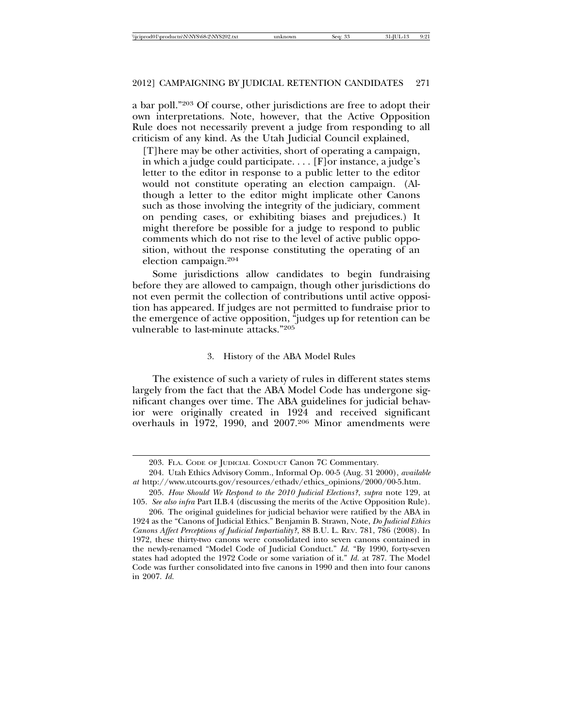a bar poll."203 Of course, other jurisdictions are free to adopt their own interpretations. Note, however, that the Active Opposition Rule does not necessarily prevent a judge from responding to all criticism of any kind. As the Utah Judicial Council explained,

[T]here may be other activities, short of operating a campaign, in which a judge could participate. . . . [F]or instance, a judge's letter to the editor in response to a public letter to the editor would not constitute operating an election campaign. (Although a letter to the editor might implicate other Canons such as those involving the integrity of the judiciary, comment on pending cases, or exhibiting biases and prejudices.) It might therefore be possible for a judge to respond to public comments which do not rise to the level of active public opposition, without the response constituting the operating of an election campaign.204

Some jurisdictions allow candidates to begin fundraising before they are allowed to campaign, though other jurisdictions do not even permit the collection of contributions until active opposition has appeared. If judges are not permitted to fundraise prior to the emergence of active opposition, "judges up for retention can be vulnerable to last-minute attacks."205

#### 3. History of the ABA Model Rules

The existence of such a variety of rules in different states stems largely from the fact that the ABA Model Code has undergone significant changes over time. The ABA guidelines for judicial behavior were originally created in 1924 and received significant overhauls in 1972, 1990, and 2007.206 Minor amendments were

<sup>203.</sup> FLA. CODE OF JUDICIAL CONDUCT Canon 7C Commentary.

<sup>204.</sup> Utah Ethics Advisory Comm., Informal Op. 00-5 (Aug. 31 2000), *available at* http://www.utcourts.gov/resources/ethadv/ethics\_opinions/2000/00-5.htm.

<sup>205.</sup> *How Should We Respond to the 2010 Judicial Elections?*, *supra* note 129, at 105. *See also infra* Part II.B.4 (discussing the merits of the Active Opposition Rule).

<sup>206.</sup> The original guidelines for judicial behavior were ratified by the ABA in 1924 as the "Canons of Judicial Ethics." Benjamin B. Strawn, Note, *Do Judicial Ethics Canons Affect Perceptions of Judicial Impartiality?*, 88 B.U. L. REV. 781, 786 (2008). In 1972, these thirty-two canons were consolidated into seven canons contained in the newly-renamed "Model Code of Judicial Conduct." *Id.* "By 1990, forty-seven states had adopted the 1972 Code or some variation of it." *Id.* at 787. The Model Code was further consolidated into five canons in 1990 and then into four canons in 2007. *Id.*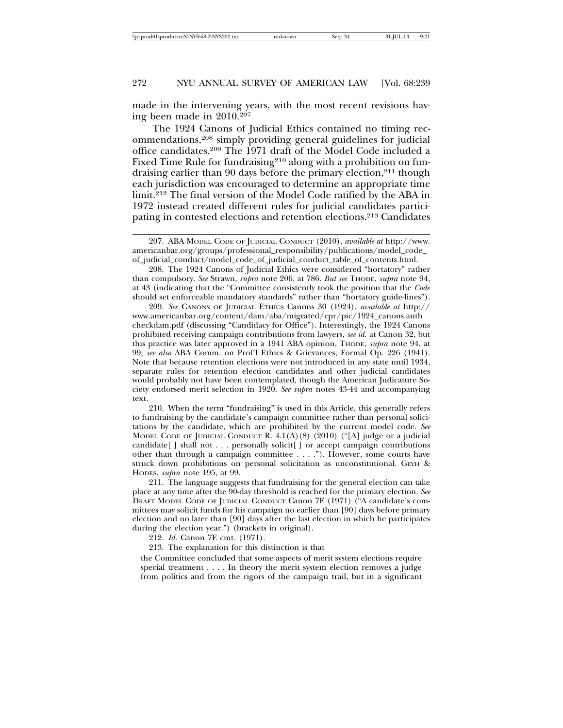made in the intervening years, with the most recent revisions having been made in 2010.207

The 1924 Canons of Judicial Ethics contained no timing recommendations,208 simply providing general guidelines for judicial office candidates.209 The 1971 draft of the Model Code included a Fixed Time Rule for fundraising<sup>210</sup> along with a prohibition on fundraising earlier than 90 days before the primary election,<sup>211</sup> though each jurisdiction was encouraged to determine an appropriate time limit.212 The final version of the Model Code ratified by the ABA in 1972 instead created different rules for judicial candidates participating in contested elections and retention elections.213 Candidates

www.americanbar.org/content/dam/aba/migrated/cpr/pic/1924\_canons.auth checkdam.pdf (discussing "Candidacy for Office"). Interestingly, the 1924 Canons prohibited receiving campaign contributions from lawyers, *see id.* at Canon 32, but this practice was later approved in a 1941 ABA opinion, THODE, *supra* note 94, at 99; *see also* ABA Comm. on Prof'l Ethics & Grievances, Formal Op. 226 (1941). Note that because retention elections were not introduced in any state until 1934, separate rules for retention election candidates and other judicial candidates would probably not have been contemplated, though the American Judicature Society endorsed merit selection in 1920. *See supra* notes 43-44 and accompanying text.

210. When the term "fundraising" is used in this Article, this generally refers to fundraising by the candidate's campaign committee rather than personal solicitations by the candidate, which are prohibited by the current model code. *See* MODEL CODE OF JUDICIAL CONDUCT R.  $4.1(A)(8)$  (2010) ("[A] judge or a judicial candidate[ ] shall not . . . personally solicit[ ] or accept campaign contributions other than through a campaign committee . . . ."). However, some courts have struck down prohibitions on personal solicitation as unconstitutional. GEYH & HODES, *supra* note 195, at 99.

211. The language suggests that fundraising for the general election can take place at any time after the 90-day threshold is reached for the primary election. *See* DRAFT MODEL CODE OF JUDICIAL CONDUCT Canon 7E (1971) ("A candidate's committees may solicit funds for his campaign no earlier than [90] days before primary election and no later than [90] days after the last election in which he participates during the election year.") (brackets in original).

212. *Id.* Canon 7E cmt. (1971).

213. The explanation for this distinction is that

the Committee concluded that some aspects of merit system elections require special treatment . . . . In theory the merit system election removes a judge from politics and from the rigors of the campaign trail, but in a significant

<sup>207.</sup> ABA MODEL CODE OF JUDICIAL CONDUCT (2010), *available at* http://www. americanbar.org/groups/professional\_responsibility/publications/model\_code\_ of\_judicial\_conduct/model\_code\_of\_judicial\_conduct\_table\_of\_contents.html.

<sup>208.</sup> The 1924 Canons of Judicial Ethics were considered "hortatory" rather than compulsory. *See* Strawn, *supra* note 206, at 786. *But see* THODE, *supra* note 94, at 43 (indicating that the "Committee consistently took the position that the *Code* should set enforceable mandatory standards" rather than "hortatory guide-lines"). 209. *See* CANONS OF JUDICIAL ETHICS Canons 30 (1924), *available at* http://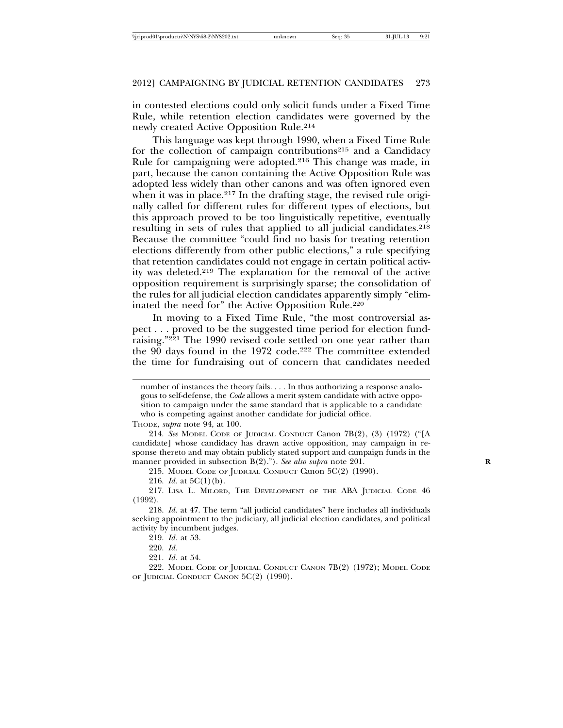in contested elections could only solicit funds under a Fixed Time Rule, while retention election candidates were governed by the newly created Active Opposition Rule.214

This language was kept through 1990, when a Fixed Time Rule for the collection of campaign contributions<sup>215</sup> and a Candidacy Rule for campaigning were adopted.<sup>216</sup> This change was made, in part, because the canon containing the Active Opposition Rule was adopted less widely than other canons and was often ignored even when it was in place.<sup>217</sup> In the drafting stage, the revised rule originally called for different rules for different types of elections, but this approach proved to be too linguistically repetitive, eventually resulting in sets of rules that applied to all judicial candidates.<sup>218</sup> Because the committee "could find no basis for treating retention elections differently from other public elections," a rule specifying that retention candidates could not engage in certain political activity was deleted.219 The explanation for the removal of the active opposition requirement is surprisingly sparse; the consolidation of the rules for all judicial election candidates apparently simply "eliminated the need for" the Active Opposition Rule.220

In moving to a Fixed Time Rule, "the most controversial aspect . . . proved to be the suggested time period for election fundraising."221 The 1990 revised code settled on one year rather than the 90 days found in the 1972 code.<sup>222</sup> The committee extended the time for fundraising out of concern that candidates needed

THODE, *supra* note 94, at 100.

216. *Id.* at  $5C(1)(b)$ .

217. LISA L. MILORD, THE DEVELOPMENT OF THE ABA JUDICIAL CODE 46 (1992).

218. *Id.* at 47. The term "all judicial candidates" here includes all individuals seeking appointment to the judiciary, all judicial election candidates, and political activity by incumbent judges.

219. *Id.* at 53.

221. *Id.* at 54.

222. MODEL CODE OF JUDICIAL CONDUCT CANON 7B(2) (1972); MODEL CODE OF JUDICIAL CONDUCT CANON 5C(2) (1990).

number of instances the theory fails. . . . In thus authorizing a response analogous to self-defense, the *Code* allows a merit system candidate with active opposition to campaign under the same standard that is applicable to a candidate who is competing against another candidate for judicial office.

<sup>214.</sup> *See* MODEL CODE OF JUDICIAL CONDUCT Canon 7B(2), (3) (1972) ("[A candidate] whose candidacy has drawn active opposition, may campaign in response thereto and may obtain publicly stated support and campaign funds in the manner provided in subsection B(2)."). *See also supra* note 201. **R**

<sup>215.</sup> MODEL CODE OF JUDICIAL CONDUCT Canon 5C(2) (1990).

<sup>220.</sup> *Id.*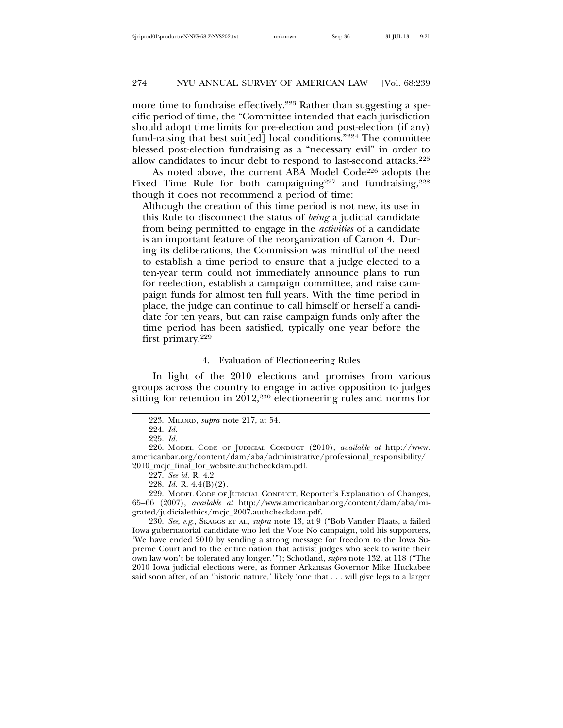more time to fundraise effectively.<sup>223</sup> Rather than suggesting a specific period of time, the "Committee intended that each jurisdiction should adopt time limits for pre-election and post-election (if any) fund-raising that best suit[ed] local conditions."224 The committee blessed post-election fundraising as a "necessary evil" in order to allow candidates to incur debt to respond to last-second attacks.225

As noted above, the current ABA Model Code226 adopts the Fixed Time Rule for both campaigning<sup>227</sup> and fundraising,<sup>228</sup> though it does not recommend a period of time:

Although the creation of this time period is not new, its use in this Rule to disconnect the status of *being* a judicial candidate from being permitted to engage in the *activities* of a candidate is an important feature of the reorganization of Canon 4. During its deliberations, the Commission was mindful of the need to establish a time period to ensure that a judge elected to a ten-year term could not immediately announce plans to run for reelection, establish a campaign committee, and raise campaign funds for almost ten full years. With the time period in place, the judge can continue to call himself or herself a candidate for ten years, but can raise campaign funds only after the time period has been satisfied, typically one year before the first primary.229

#### 4. Evaluation of Electioneering Rules

In light of the 2010 elections and promises from various groups across the country to engage in active opposition to judges sitting for retention in 2012,<sup>230</sup> electioneering rules and norms for

230. *See, e.g.*, SKAGGS ET AL, *supra* note 13, at 9 ("Bob Vander Plaats, a failed Iowa gubernatorial candidate who led the Vote No campaign, told his supporters, 'We have ended 2010 by sending a strong message for freedom to the Iowa Supreme Court and to the entire nation that activist judges who seek to write their own law won't be tolerated any longer.'"); Schotland, *supra* note 132, at 118 ("The 2010 Iowa judicial elections were, as former Arkansas Governor Mike Huckabee said soon after, of an 'historic nature,' likely 'one that . . . will give legs to a larger

<sup>223.</sup> MILORD, *supra* note 217, at 54.

<sup>224.</sup> *Id.*

<sup>225.</sup> *Id.*

<sup>226.</sup> MODEL CODE OF JUDICIAL CONDUCT (2010), *available at* http://www. americanbar.org/content/dam/aba/administrative/professional\_responsibility/ 2010\_mcjc\_final\_for\_website.authcheckdam.pdf.

<sup>227.</sup> *See id.* R. 4.2.

<sup>228.</sup> *Id.* R. 4.4(B)(2).

<sup>229.</sup> MODEL CODE OF JUDICIAL CONDUCT, Reporter's Explanation of Changes, 65–66 (2007), *available at* http://www.americanbar.org/content/dam/aba/migrated/judicialethics/mcjc\_2007.authcheckdam.pdf.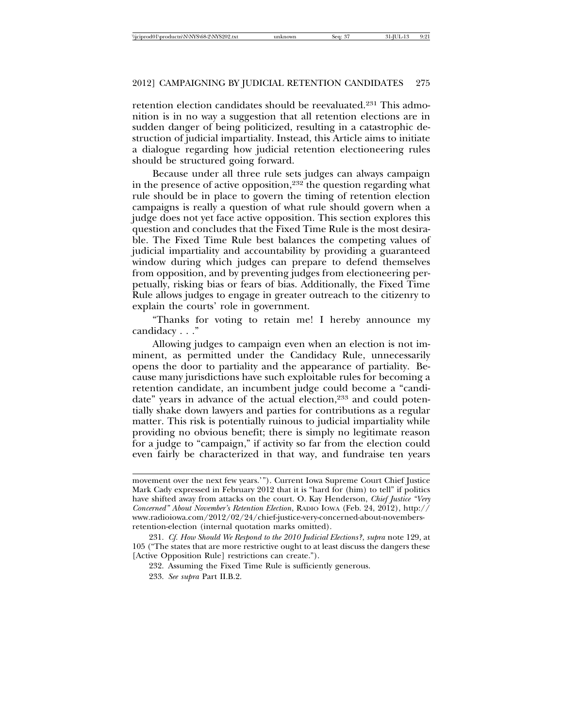retention election candidates should be reevaluated.231 This admonition is in no way a suggestion that all retention elections are in sudden danger of being politicized, resulting in a catastrophic destruction of judicial impartiality. Instead, this Article aims to initiate a dialogue regarding how judicial retention electioneering rules should be structured going forward.

Because under all three rule sets judges can always campaign in the presence of active opposition,<sup>232</sup> the question regarding what rule should be in place to govern the timing of retention election campaigns is really a question of what rule should govern when a judge does not yet face active opposition. This section explores this question and concludes that the Fixed Time Rule is the most desirable. The Fixed Time Rule best balances the competing values of judicial impartiality and accountability by providing a guaranteed window during which judges can prepare to defend themselves from opposition, and by preventing judges from electioneering perpetually, risking bias or fears of bias. Additionally, the Fixed Time Rule allows judges to engage in greater outreach to the citizenry to explain the courts' role in government.

"Thanks for voting to retain me! I hereby announce my candidacy . . ."

Allowing judges to campaign even when an election is not imminent, as permitted under the Candidacy Rule, unnecessarily opens the door to partiality and the appearance of partiality. Because many jurisdictions have such exploitable rules for becoming a retention candidate, an incumbent judge could become a "candidate" years in advance of the actual election,<sup>233</sup> and could potentially shake down lawyers and parties for contributions as a regular matter. This risk is potentially ruinous to judicial impartiality while providing no obvious benefit; there is simply no legitimate reason for a judge to "campaign," if activity so far from the election could even fairly be characterized in that way, and fundraise ten years

232. Assuming the Fixed Time Rule is sufficiently generous.

movement over the next few years.'"). Current Iowa Supreme Court Chief Justice Mark Cady expressed in February 2012 that it is "hard for (him) to tell" if politics have shifted away from attacks on the court. O. Kay Henderson, *Chief Justice "Very Concerned" About November's Retention Election*, RADIO IOWA (Feb. 24, 2012), http:// www.radioiowa.com/2012/02/24/chief-justice-very-concerned-about-novembersretention-election (internal quotation marks omitted).

<sup>231.</sup> *Cf. How Should We Respond to the 2010 Judicial Elections?*, *supra* note 129, at 105 ("The states that are more restrictive ought to at least discuss the dangers these [Active Opposition Rule] restrictions can create.").

<sup>233.</sup> *See supra* Part II.B.2.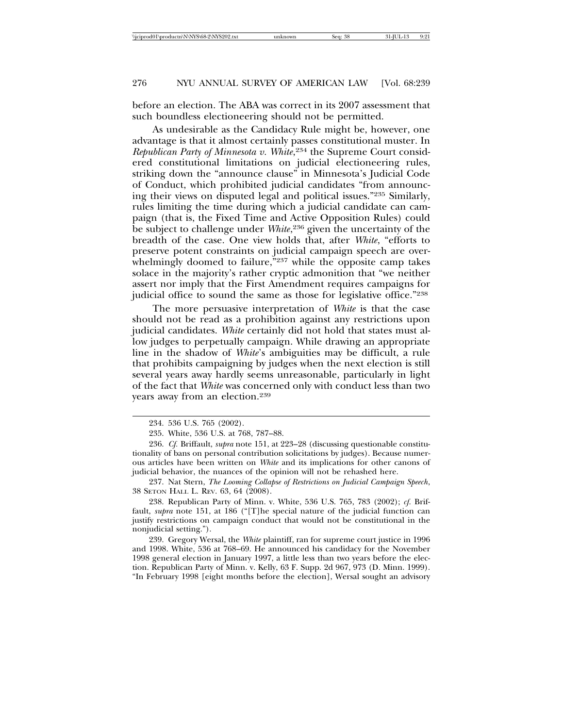before an election. The ABA was correct in its 2007 assessment that such boundless electioneering should not be permitted.

As undesirable as the Candidacy Rule might be, however, one advantage is that it almost certainly passes constitutional muster. In *Republican Party of Minnesota v. White*, 234 the Supreme Court considered constitutional limitations on judicial electioneering rules, striking down the "announce clause" in Minnesota's Judicial Code of Conduct, which prohibited judicial candidates "from announcing their views on disputed legal and political issues."235 Similarly, rules limiting the time during which a judicial candidate can campaign (that is, the Fixed Time and Active Opposition Rules) could be subject to challenge under *White*, 236 given the uncertainty of the breadth of the case. One view holds that, after *White*, "efforts to preserve potent constraints on judicial campaign speech are overwhelmingly doomed to failure,"237 while the opposite camp takes solace in the majority's rather cryptic admonition that "we neither assert nor imply that the First Amendment requires campaigns for judicial office to sound the same as those for legislative office."238

The more persuasive interpretation of *White* is that the case should not be read as a prohibition against any restrictions upon judicial candidates. *White* certainly did not hold that states must allow judges to perpetually campaign. While drawing an appropriate line in the shadow of *White*'s ambiguities may be difficult, a rule that prohibits campaigning by judges when the next election is still several years away hardly seems unreasonable, particularly in light of the fact that *White* was concerned only with conduct less than two years away from an election.239

237. Nat Stern, *The Looming Collapse of Restrictions on Judicial Campaign Speech*, 38 SETON HALL L. REV. 63, 64 (2008).

238. Republican Party of Minn. v. White, 536 U.S. 765, 783 (2002); *cf.* Briffault, *supra* note 151, at 186 ("[T]he special nature of the judicial function can justify restrictions on campaign conduct that would not be constitutional in the nonjudicial setting.").

239. Gregory Wersal, the *White* plaintiff, ran for supreme court justice in 1996 and 1998. White, 536 at 768–69. He announced his candidacy for the November 1998 general election in January 1997, a little less than two years before the election. Republican Party of Minn. v. Kelly, 63 F. Supp. 2d 967, 973 (D. Minn. 1999). "In February 1998 [eight months before the election], Wersal sought an advisory

<sup>234. 536</sup> U.S. 765 (2002).

<sup>235.</sup> White, 536 U.S. at 768, 787–88.

<sup>236.</sup> *Cf.* Briffault, *supra* note 151, at 223–28 (discussing questionable constitutionality of bans on personal contribution solicitations by judges). Because numerous articles have been written on *White* and its implications for other canons of judicial behavior, the nuances of the opinion will not be rehashed here.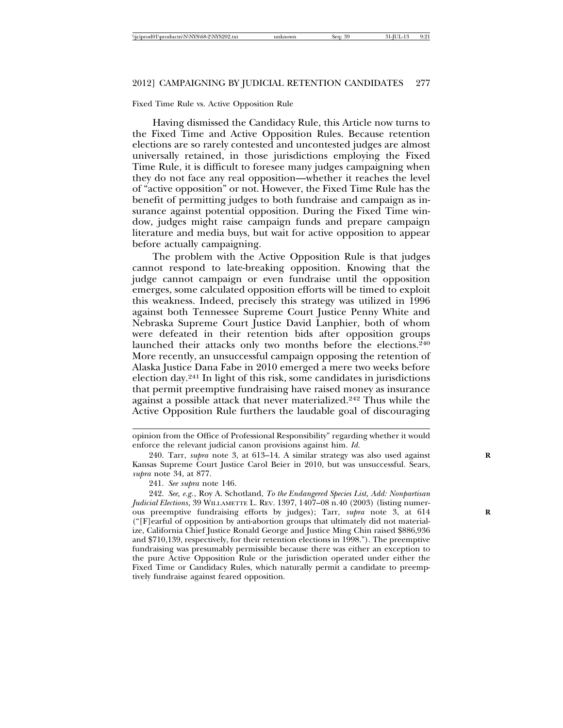#### Fixed Time Rule vs. Active Opposition Rule

Having dismissed the Candidacy Rule, this Article now turns to the Fixed Time and Active Opposition Rules. Because retention elections are so rarely contested and uncontested judges are almost universally retained, in those jurisdictions employing the Fixed Time Rule, it is difficult to foresee many judges campaigning when they do not face any real opposition—whether it reaches the level of "active opposition" or not. However, the Fixed Time Rule has the benefit of permitting judges to both fundraise and campaign as insurance against potential opposition. During the Fixed Time window, judges might raise campaign funds and prepare campaign literature and media buys, but wait for active opposition to appear before actually campaigning.

The problem with the Active Opposition Rule is that judges cannot respond to late-breaking opposition. Knowing that the judge cannot campaign or even fundraise until the opposition emerges, some calculated opposition efforts will be timed to exploit this weakness. Indeed, precisely this strategy was utilized in 1996 against both Tennessee Supreme Court Justice Penny White and Nebraska Supreme Court Justice David Lanphier, both of whom were defeated in their retention bids after opposition groups launched their attacks only two months before the elections.<sup>240</sup> More recently, an unsuccessful campaign opposing the retention of Alaska Justice Dana Fabe in 2010 emerged a mere two weeks before election day.241 In light of this risk, some candidates in jurisdictions that permit preemptive fundraising have raised money as insurance against a possible attack that never materialized.242 Thus while the Active Opposition Rule furthers the laudable goal of discouraging

opinion from the Office of Professional Responsibility" regarding whether it would enforce the relevant judicial canon provisions against him. *Id.* 

<sup>240.</sup> Tarr, *supra* note 3, at 613–14. A similar strategy was also used against **R** Kansas Supreme Court Justice Carol Beier in 2010, but was unsuccessful. Sears, *supra* note 34, at 877.

<sup>241.</sup> *See supra* note 146.

<sup>242.</sup> *See, e.g.*, Roy A. Schotland, *To the Endangered Species List, Add: Nonpartisan Judicial Elections*, 39 WILLAMETTE L. REV. 1397, 1407–08 n.40 (2003) (listing numerous preemptive fundraising efforts by judges); Tarr, *supra* note 3, at 614 **R** ("[F]earful of opposition by anti-abortion groups that ultimately did not materialize, California Chief Justice Ronald George and Justice Ming Chin raised \$886,936 and \$710,139, respectively, for their retention elections in 1998."). The preemptive fundraising was presumably permissible because there was either an exception to the pure Active Opposition Rule or the jurisdiction operated under either the Fixed Time or Candidacy Rules, which naturally permit a candidate to preemptively fundraise against feared opposition.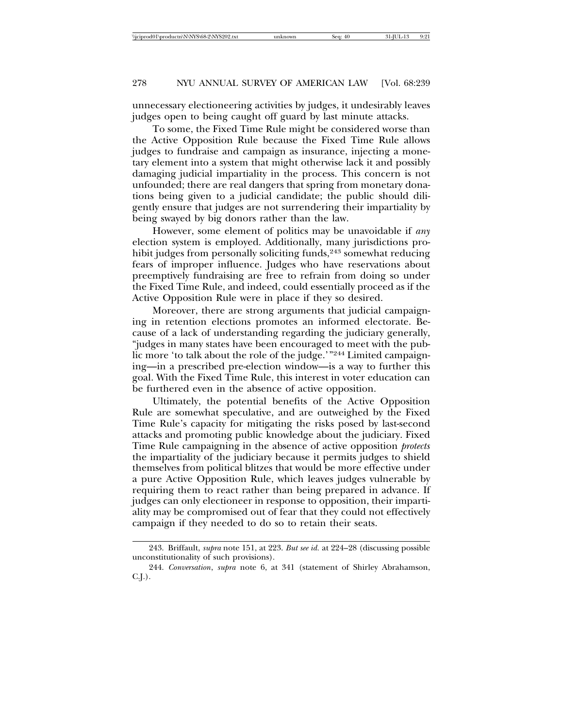unnecessary electioneering activities by judges, it undesirably leaves judges open to being caught off guard by last minute attacks.

To some, the Fixed Time Rule might be considered worse than the Active Opposition Rule because the Fixed Time Rule allows judges to fundraise and campaign as insurance, injecting a monetary element into a system that might otherwise lack it and possibly damaging judicial impartiality in the process. This concern is not unfounded; there are real dangers that spring from monetary donations being given to a judicial candidate; the public should diligently ensure that judges are not surrendering their impartiality by being swayed by big donors rather than the law.

However, some element of politics may be unavoidable if *any* election system is employed. Additionally, many jurisdictions prohibit judges from personally soliciting funds,<sup>243</sup> somewhat reducing fears of improper influence. Judges who have reservations about preemptively fundraising are free to refrain from doing so under the Fixed Time Rule, and indeed, could essentially proceed as if the Active Opposition Rule were in place if they so desired.

Moreover, there are strong arguments that judicial campaigning in retention elections promotes an informed electorate. Because of a lack of understanding regarding the judiciary generally, "judges in many states have been encouraged to meet with the public more 'to talk about the role of the judge.'"244 Limited campaigning—in a prescribed pre-election window—is a way to further this goal. With the Fixed Time Rule, this interest in voter education can be furthered even in the absence of active opposition.

Ultimately, the potential benefits of the Active Opposition Rule are somewhat speculative, and are outweighed by the Fixed Time Rule's capacity for mitigating the risks posed by last-second attacks and promoting public knowledge about the judiciary. Fixed Time Rule campaigning in the absence of active opposition *protects* the impartiality of the judiciary because it permits judges to shield themselves from political blitzes that would be more effective under a pure Active Opposition Rule, which leaves judges vulnerable by requiring them to react rather than being prepared in advance. If judges can only electioneer in response to opposition, their impartiality may be compromised out of fear that they could not effectively campaign if they needed to do so to retain their seats.

<sup>243.</sup> Briffault, *supra* note 151, at 223. *But see id.* at 224–28 (discussing possible unconstitutionality of such provisions).

<sup>244.</sup> *Conversation*, *supra* note 6, at 341 (statement of Shirley Abrahamson,  $C_{\cdot}$ .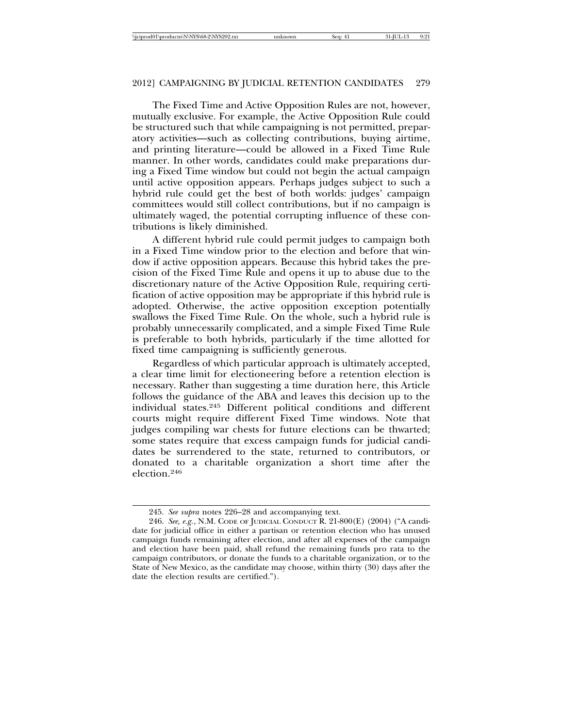The Fixed Time and Active Opposition Rules are not, however, mutually exclusive. For example, the Active Opposition Rule could be structured such that while campaigning is not permitted, preparatory activities—such as collecting contributions, buying airtime, and printing literature—could be allowed in a Fixed Time Rule manner. In other words, candidates could make preparations during a Fixed Time window but could not begin the actual campaign until active opposition appears. Perhaps judges subject to such a hybrid rule could get the best of both worlds: judges' campaign committees would still collect contributions, but if no campaign is ultimately waged, the potential corrupting influence of these contributions is likely diminished.

A different hybrid rule could permit judges to campaign both in a Fixed Time window prior to the election and before that window if active opposition appears. Because this hybrid takes the precision of the Fixed Time Rule and opens it up to abuse due to the discretionary nature of the Active Opposition Rule, requiring certification of active opposition may be appropriate if this hybrid rule is adopted. Otherwise, the active opposition exception potentially swallows the Fixed Time Rule. On the whole, such a hybrid rule is probably unnecessarily complicated, and a simple Fixed Time Rule is preferable to both hybrids, particularly if the time allotted for fixed time campaigning is sufficiently generous.

Regardless of which particular approach is ultimately accepted, a clear time limit for electioneering before a retention election is necessary. Rather than suggesting a time duration here, this Article follows the guidance of the ABA and leaves this decision up to the individual states.245 Different political conditions and different courts might require different Fixed Time windows. Note that judges compiling war chests for future elections can be thwarted; some states require that excess campaign funds for judicial candidates be surrendered to the state, returned to contributors, or donated to a charitable organization a short time after the election.246

<sup>245.</sup> *See supra* notes 226–28 and accompanying text.

<sup>246.</sup> *See, e.g.*, N.M. CODE OF JUDICIAL CONDUCT R. 21-800(E) (2004) ("A candidate for judicial office in either a partisan or retention election who has unused campaign funds remaining after election, and after all expenses of the campaign and election have been paid, shall refund the remaining funds pro rata to the campaign contributors, or donate the funds to a charitable organization, or to the State of New Mexico, as the candidate may choose, within thirty (30) days after the date the election results are certified.").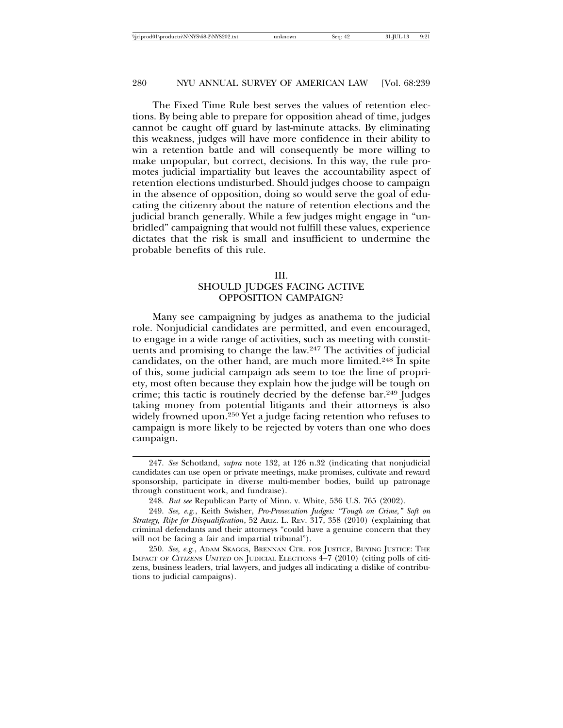The Fixed Time Rule best serves the values of retention elections. By being able to prepare for opposition ahead of time, judges cannot be caught off guard by last-minute attacks. By eliminating this weakness, judges will have more confidence in their ability to win a retention battle and will consequently be more willing to make unpopular, but correct, decisions. In this way, the rule promotes judicial impartiality but leaves the accountability aspect of retention elections undisturbed. Should judges choose to campaign in the absence of opposition, doing so would serve the goal of educating the citizenry about the nature of retention elections and the judicial branch generally. While a few judges might engage in "unbridled" campaigning that would not fulfill these values, experience dictates that the risk is small and insufficient to undermine the probable benefits of this rule.

#### III.

# SHOULD JUDGES FACING ACTIVE OPPOSITION CAMPAIGN?

Many see campaigning by judges as anathema to the judicial role. Nonjudicial candidates are permitted, and even encouraged, to engage in a wide range of activities, such as meeting with constituents and promising to change the law.247 The activities of judicial candidates, on the other hand, are much more limited.<sup>248</sup> In spite of this, some judicial campaign ads seem to toe the line of propriety, most often because they explain how the judge will be tough on crime; this tactic is routinely decried by the defense bar.249 Judges taking money from potential litigants and their attorneys is also widely frowned upon.<sup>250</sup> Yet a judge facing retention who refuses to campaign is more likely to be rejected by voters than one who does campaign.

<sup>247.</sup> *See* Schotland, *supra* note 132, at 126 n.32 (indicating that nonjudicial candidates can use open or private meetings, make promises, cultivate and reward sponsorship, participate in diverse multi-member bodies, build up patronage through constituent work, and fundraise).

<sup>248.</sup> *But see* Republican Party of Minn. v. White, 536 U.S. 765 (2002).

<sup>249.</sup> *See, e.g.*, Keith Swisher, *Pro-Prosecution Judges: "Tough on Crime," Soft on Strategy, Ripe for Disqualification*, 52 ARIZ. L. REV. 317, 358 (2010) (explaining that criminal defendants and their attorneys "could have a genuine concern that they will not be facing a fair and impartial tribunal").

<sup>250.</sup> *See, e.g.*, ADAM SKAGGS, BRENNAN CTR. FOR JUSTICE, BUYING JUSTICE: THE IMPACT OF <sup>C</sup>ITIZENS UNITED ON JUDICIAL ELECTIONS 4–7 (2010) (citing polls of citizens, business leaders, trial lawyers, and judges all indicating a dislike of contributions to judicial campaigns).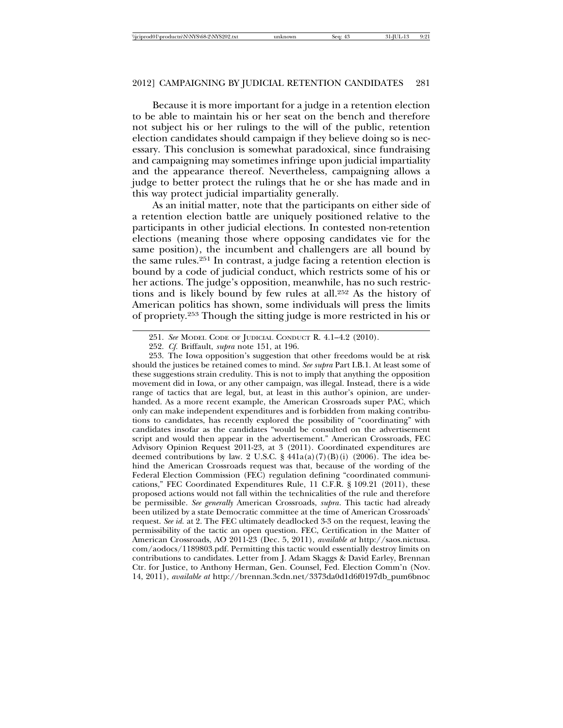Because it is more important for a judge in a retention election to be able to maintain his or her seat on the bench and therefore not subject his or her rulings to the will of the public, retention election candidates should campaign if they believe doing so is necessary. This conclusion is somewhat paradoxical, since fundraising and campaigning may sometimes infringe upon judicial impartiality and the appearance thereof. Nevertheless, campaigning allows a judge to better protect the rulings that he or she has made and in this way protect judicial impartiality generally.

As an initial matter, note that the participants on either side of a retention election battle are uniquely positioned relative to the participants in other judicial elections. In contested non-retention elections (meaning those where opposing candidates vie for the same position), the incumbent and challengers are all bound by the same rules.251 In contrast, a judge facing a retention election is bound by a code of judicial conduct, which restricts some of his or her actions. The judge's opposition, meanwhile, has no such restrictions and is likely bound by few rules at all.252 As the history of American politics has shown, some individuals will press the limits of propriety.253 Though the sitting judge is more restricted in his or

<sup>251.</sup> *See* MODEL CODE OF JUDICIAL CONDUCT R. 4.1–4.2 (2010).

<sup>252.</sup> *Cf.* Briffault, *supra* note 151, at 196.

<sup>253.</sup> The Iowa opposition's suggestion that other freedoms would be at risk should the justices be retained comes to mind. *See supra* Part I.B.1. At least some of these suggestions strain credulity. This is not to imply that anything the opposition movement did in Iowa, or any other campaign, was illegal. Instead, there is a wide range of tactics that are legal, but, at least in this author's opinion, are underhanded. As a more recent example, the American Crossroads super PAC, which only can make independent expenditures and is forbidden from making contributions to candidates, has recently explored the possibility of "coordinating" with candidates insofar as the candidates "would be consulted on the advertisement script and would then appear in the advertisement." American Crossroads, FEC Advisory Opinion Request 2011-23, at 3 (2011). Coordinated expenditures are deemed contributions by law. 2 U.S.C.  $\S$  441a(a)(7)(B)(i) (2006). The idea behind the American Crossroads request was that, because of the wording of the Federal Election Commission (FEC) regulation defining "coordinated communications," FEC Coordinated Expenditures Rule, 11 C.F.R. § 109.21 (2011), these proposed actions would not fall within the technicalities of the rule and therefore be permissible. *See generally* American Crossroads, *supra*. This tactic had already been utilized by a state Democratic committee at the time of American Crossroads' request. *See id.* at 2. The FEC ultimately deadlocked 3-3 on the request, leaving the permissibility of the tactic an open question. FEC, Certification in the Matter of American Crossroads, AO 2011-23 (Dec. 5, 2011), *available at* http://saos.nictusa. com/aodocs/1189803.pdf. Permitting this tactic would essentially destroy limits on contributions to candidates. Letter from J. Adam Skaggs & David Earley, Brennan Ctr. for Justice, to Anthony Herman, Gen. Counsel, Fed. Election Comm'n (Nov. 14, 2011), *available at* http://brennan.3cdn.net/3373da0d1d6f0197db\_pum6bnoc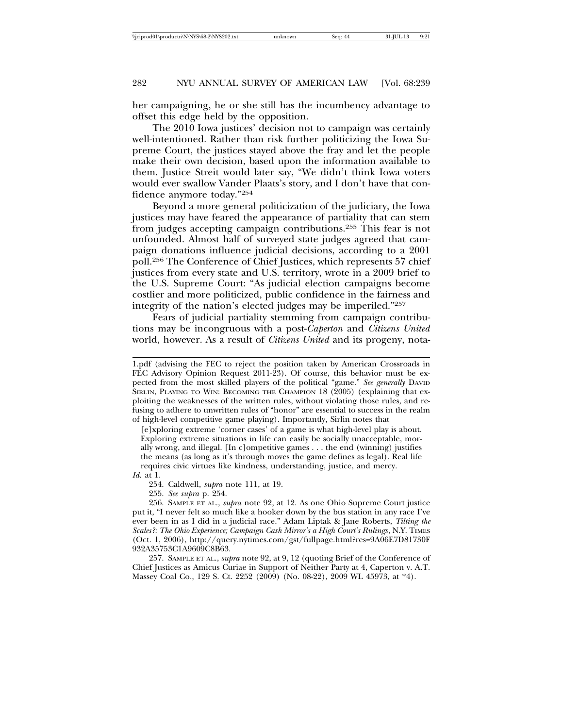her campaigning, he or she still has the incumbency advantage to offset this edge held by the opposition.

The 2010 Iowa justices' decision not to campaign was certainly well-intentioned. Rather than risk further politicizing the Iowa Supreme Court, the justices stayed above the fray and let the people make their own decision, based upon the information available to them. Justice Streit would later say, "We didn't think Iowa voters would ever swallow Vander Plaats's story, and I don't have that confidence anymore today."254

Beyond a more general politicization of the judiciary, the Iowa justices may have feared the appearance of partiality that can stem from judges accepting campaign contributions.255 This fear is not unfounded. Almost half of surveyed state judges agreed that campaign donations influence judicial decisions, according to a 2001 poll.256 The Conference of Chief Justices, which represents 57 chief justices from every state and U.S. territory, wrote in a 2009 brief to the U.S. Supreme Court: "As judicial election campaigns become costlier and more politicized, public confidence in the fairness and integrity of the nation's elected judges may be imperiled."257

Fears of judicial partiality stemming from campaign contributions may be incongruous with a post-*Caperton* and *Citizens United* world, however. As a result of *Citizens United* and its progeny, nota-

[e]xploring extreme 'corner cases' of a game is what high-level play is about. Exploring extreme situations in life can easily be socially unacceptable, morally wrong, and illegal. [In c]ompetitive games . . . the end (winning) justifies the means (as long as it's through moves the game defines as legal). Real life requires civic virtues like kindness, understanding, justice, and mercy. *Id.* at 1.

254. Caldwell, *supra* note 111, at 19.

255. *See supra* p. 254.

256. SAMPLE ET AL., *supra* note 92, at 12. As one Ohio Supreme Court justice put it, "I never felt so much like a hooker down by the bus station in any race I've ever been in as I did in a judicial race." Adam Liptak & Jane Roberts, *Tilting the Scales?: The Ohio Experience; Campaign Cash Mirror's a High Court's Rulings*, N.Y. TIMES (Oct. 1, 2006), http://query.nytimes.com/gst/fullpage.html?res=9A06E7D81730F 932A35753C1A9609C8B63.

257. SAMPLE ET AL., *supra* note 92, at 9, 12 (quoting Brief of the Conference of Chief Justices as Amicus Curiae in Support of Neither Party at 4, Caperton v. A.T. Massey Coal Co., 129 S. Ct. 2252 (2009) (No. 08-22), 2009 WL 45973, at \*4).

<sup>1.</sup>pdf (advising the FEC to reject the position taken by American Crossroads in FEC Advisory Opinion Request 2011-23). Of course, this behavior must be expected from the most skilled players of the political "game." *See generally* DAVID SIRLIN, PLAYING TO WIN: BECOMING THE CHAMPION 18 (2005) (explaining that exploiting the weaknesses of the written rules, without violating those rules, and refusing to adhere to unwritten rules of "honor" are essential to success in the realm of high-level competitive game playing). Importantly, Sirlin notes that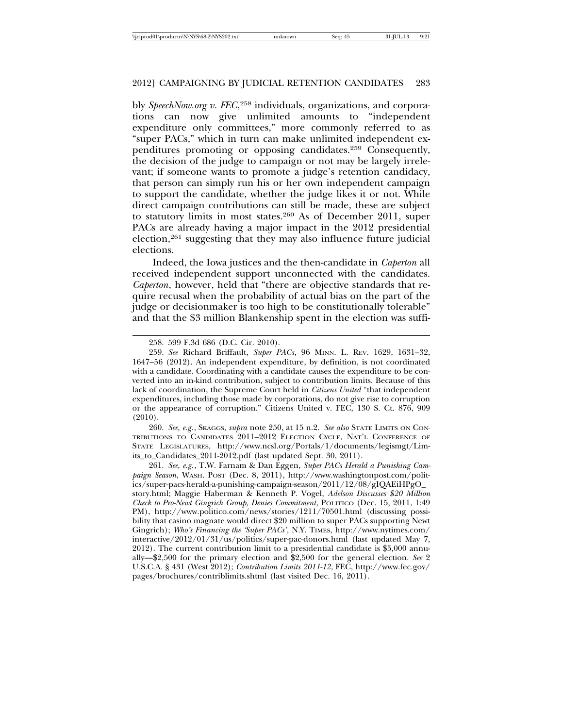bly *SpeechNow.org v. FEC*, 258 individuals, organizations, and corporations can now give unlimited amounts to "independent expenditure only committees," more commonly referred to as "super PACs," which in turn can make unlimited independent expenditures promoting or opposing candidates.259 Consequently, the decision of the judge to campaign or not may be largely irrelevant; if someone wants to promote a judge's retention candidacy, that person can simply run his or her own independent campaign to support the candidate, whether the judge likes it or not. While direct campaign contributions can still be made, these are subject to statutory limits in most states.260 As of December 2011, super PACs are already having a major impact in the 2012 presidential election,261 suggesting that they may also influence future judicial elections.

Indeed, the Iowa justices and the then-candidate in *Caperton* all received independent support unconnected with the candidates. *Caperton*, however, held that "there are objective standards that require recusal when the probability of actual bias on the part of the judge or decisionmaker is too high to be constitutionally tolerable" and that the \$3 million Blankenship spent in the election was suffi-

260. *See, e.g.*, SKAGGS, *supra* note 250, at 15 n.2. *See also* STATE LIMITS ON CON-TRIBUTIONS TO CANDIDATES 2011–2012 ELECTION CYCLE, NAT'L CONFERENCE OF STATE LEGISLATURES, http://www.ncsl.org/Portals/1/documents/legismgt/Limits\_to\_Candidates\_2011-2012.pdf (last updated Sept. 30, 2011).

261. *See, e.g.*, T.W. Farnam & Dan Eggen, *Super PACs Herald a Punishing Campaign Season*, WASH. POST (Dec. 8, 2011), http://www.washingtonpost.com/politics/super-pacs-herald-a-punishing-campaign-season/2011/12/08/gIQAEiHPgO\_ story.html; Maggie Haberman & Kenneth P. Vogel, *Adelson Discusses \$20 Million Check to Pro-Newt Gingrich Group, Denies Commitment*, POLITICO (Dec. 15, 2011, 1:49 PM), http://www.politico.com/news/stories/1211/70501.html (discussing possibility that casino magnate would direct \$20 million to super PACs supporting Newt Gingrich); *Who's Financing the 'Super PACs'*, N.Y. TIMES, http://www.nytimes.com/ interactive/2012/01/31/us/politics/super-pac-donors.html (last updated May 7, 2012). The current contribution limit to a presidential candidate is \$5,000 annually—\$2,500 for the primary election and \$2,500 for the general election. *See* 2 U.S.C.A. § 431 (West 2012); *Contribution Limits 2011-12*, FEC, http://www.fec.gov/ pages/brochures/contriblimits.shtml (last visited Dec. 16, 2011).

<sup>258. 599</sup> F.3d 686 (D.C. Cir. 2010).

<sup>259.</sup> *See* Richard Briffault, *Super PACs*, 96 MINN. L. REV. 1629, 1631–32, 1647–56 (2012). An independent expenditure, by definition, is not coordinated with a candidate. Coordinating with a candidate causes the expenditure to be converted into an in-kind contribution, subject to contribution limits. Because of this lack of coordination, the Supreme Court held in *Citizens United* "that independent expenditures, including those made by corporations, do not give rise to corruption or the appearance of corruption." Citizens United v. FEC, 130 S. Ct. 876, 909 (2010).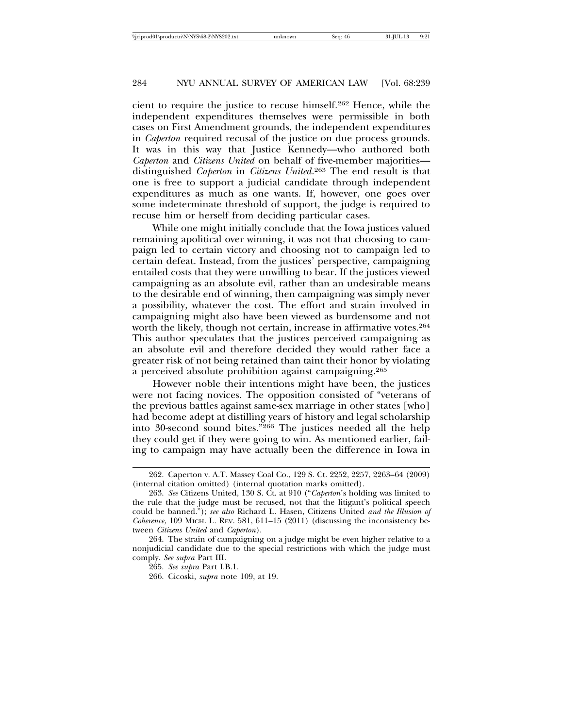cient to require the justice to recuse himself.262 Hence, while the independent expenditures themselves were permissible in both cases on First Amendment grounds, the independent expenditures in *Caperton* required recusal of the justice on due process grounds. It was in this way that Justice Kennedy—who authored both *Caperton* and *Citizens United* on behalf of five-member majorities distinguished *Caperton* in *Citizens United*. 263 The end result is that one is free to support a judicial candidate through independent expenditures as much as one wants. If, however, one goes over some indeterminate threshold of support, the judge is required to recuse him or herself from deciding particular cases.

While one might initially conclude that the Iowa justices valued remaining apolitical over winning, it was not that choosing to campaign led to certain victory and choosing not to campaign led to certain defeat. Instead, from the justices' perspective, campaigning entailed costs that they were unwilling to bear. If the justices viewed campaigning as an absolute evil, rather than an undesirable means to the desirable end of winning, then campaigning was simply never a possibility, whatever the cost. The effort and strain involved in campaigning might also have been viewed as burdensome and not worth the likely, though not certain, increase in affirmative votes.<sup>264</sup> This author speculates that the justices perceived campaigning as an absolute evil and therefore decided they would rather face a greater risk of not being retained than taint their honor by violating a perceived absolute prohibition against campaigning.265

However noble their intentions might have been, the justices were not facing novices. The opposition consisted of "veterans of the previous battles against same-sex marriage in other states [who] had become adept at distilling years of history and legal scholarship into 30-second sound bites."266 The justices needed all the help they could get if they were going to win. As mentioned earlier, failing to campaign may have actually been the difference in Iowa in

<sup>262.</sup> Caperton v. A.T. Massey Coal Co., 129 S. Ct. 2252, 2257, 2263–64 (2009) (internal citation omitted) (internal quotation marks omitted).

<sup>263.</sup> *See* Citizens United, 130 S. Ct. at 910 ("*Caperton*'s holding was limited to the rule that the judge must be recused, not that the litigant's political speech could be banned."); *see also* Richard L. Hasen, Citizens United *and the Illusion of Coherence*, 109 MICH. L. REV. 581, 611–15 (2011) (discussing the inconsistency between *Citizens United* and *Caperton*).

<sup>264.</sup> The strain of campaigning on a judge might be even higher relative to a nonjudicial candidate due to the special restrictions with which the judge must comply. *See supra* Part III.

<sup>265.</sup> *See supra* Part I.B.1.

<sup>266.</sup> Cicoski, *supra* note 109, at 19.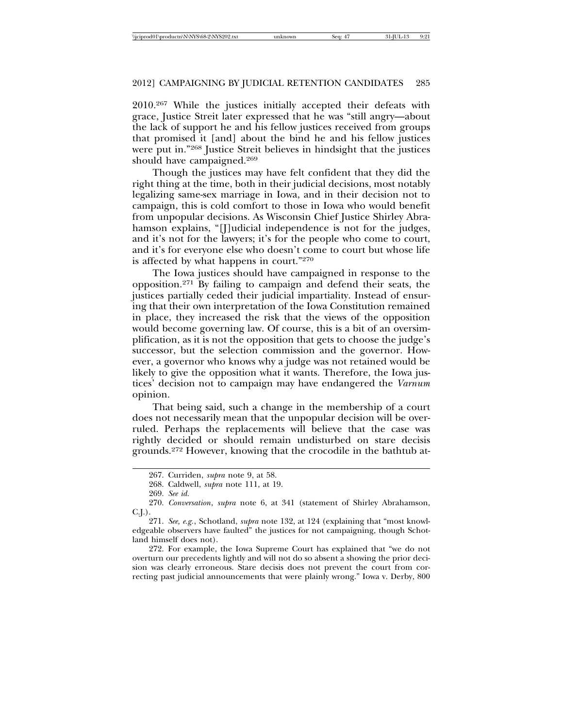2010.267 While the justices initially accepted their defeats with grace, Justice Streit later expressed that he was "still angry—about the lack of support he and his fellow justices received from groups that promised it [and] about the bind he and his fellow justices were put in."268 Justice Streit believes in hindsight that the justices should have campaigned.<sup>269</sup>

Though the justices may have felt confident that they did the right thing at the time, both in their judicial decisions, most notably legalizing same-sex marriage in Iowa, and in their decision not to campaign, this is cold comfort to those in Iowa who would benefit from unpopular decisions. As Wisconsin Chief Justice Shirley Abrahamson explains, "[J]udicial independence is not for the judges, and it's not for the lawyers; it's for the people who come to court, and it's for everyone else who doesn't come to court but whose life is affected by what happens in court."270

The Iowa justices should have campaigned in response to the opposition.271 By failing to campaign and defend their seats, the justices partially ceded their judicial impartiality. Instead of ensuring that their own interpretation of the Iowa Constitution remained in place, they increased the risk that the views of the opposition would become governing law. Of course, this is a bit of an oversimplification, as it is not the opposition that gets to choose the judge's successor, but the selection commission and the governor. However, a governor who knows why a judge was not retained would be likely to give the opposition what it wants. Therefore, the Iowa justices' decision not to campaign may have endangered the *Varnum* opinion.

That being said, such a change in the membership of a court does not necessarily mean that the unpopular decision will be overruled. Perhaps the replacements will believe that the case was rightly decided or should remain undisturbed on stare decisis grounds.272 However, knowing that the crocodile in the bathtub at-

272. For example, the Iowa Supreme Court has explained that "we do not overturn our precedents lightly and will not do so absent a showing the prior decision was clearly erroneous. Stare decisis does not prevent the court from correcting past judicial announcements that were plainly wrong." Iowa v. Derby, 800

<sup>267.</sup> Curriden, *supra* note 9, at 58.

<sup>268.</sup> Caldwell, *supra* note 111, at 19.

<sup>269.</sup> *See id.*

<sup>270.</sup> *Conversation*, *supra* note 6, at 341 (statement of Shirley Abrahamson, C.J.).

<sup>271.</sup> *See, e.g.*, Schotland, *supra* note 132, at 124 (explaining that "most knowledgeable observers have faulted" the justices for not campaigning, though Schotland himself does not).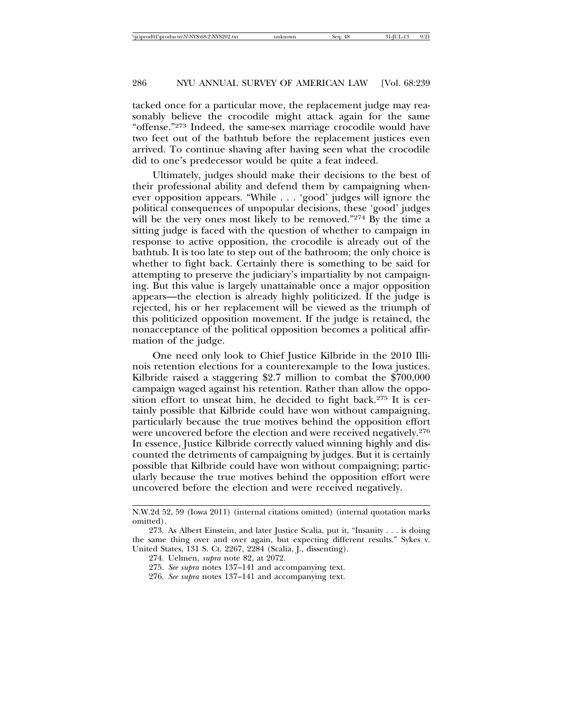tacked once for a particular move, the replacement judge may reasonably believe the crocodile might attack again for the same "offense."273 Indeed, the same-sex marriage crocodile would have two feet out of the bathtub before the replacement justices even arrived. To continue shaving after having seen what the crocodile did to one's predecessor would be quite a feat indeed.

Ultimately, judges should make their decisions to the best of their professional ability and defend them by campaigning whenever opposition appears. "While . . . 'good' judges will ignore the political consequences of unpopular decisions, these 'good' judges will be the very ones most likely to be removed."274 By the time a sitting judge is faced with the question of whether to campaign in response to active opposition, the crocodile is already out of the bathtub. It is too late to step out of the bathroom; the only choice is whether to fight back. Certainly there is something to be said for attempting to preserve the judiciary's impartiality by not campaigning. But this value is largely unattainable once a major opposition appears—the election is already highly politicized. If the judge is rejected, his or her replacement will be viewed as the triumph of this politicized opposition movement. If the judge is retained, the nonacceptance of the political opposition becomes a political affirmation of the judge.

One need only look to Chief Justice Kilbride in the 2010 Illinois retention elections for a counterexample to the Iowa justices. Kilbride raised a staggering \$2.7 million to combat the \$700,000 campaign waged against his retention. Rather than allow the opposition effort to unseat him, he decided to fight back.275 It is certainly possible that Kilbride could have won without campaigning, particularly because the true motives behind the opposition effort were uncovered before the election and were received negatively.<sup>276</sup> In essence, Justice Kilbride correctly valued winning highly and discounted the detriments of campaigning by judges. But it is certainly possible that Kilbride could have won without compaigning; particularly because the true motives behind the opposition effort were uncovered before the election and were received negatively.

N.W.2d 52, 59 (Iowa 2011) (internal citations omitted) (internal quotation marks omitted).

<sup>273.</sup> As Albert Einstein, and later Justice Scalia, put it, "Insanity . . . is doing the same thing over and over again, but expecting different results." Sykes v. United States, 131 S. Ct. 2267, 2284 (Scalia, J., dissenting).

<sup>274.</sup> Uelmen, *supra* note 82, at 2072.

<sup>275.</sup> *See supra* notes 137–141 and accompanying text.

<sup>276.</sup> *See supra* notes 137–141 and accompanying text.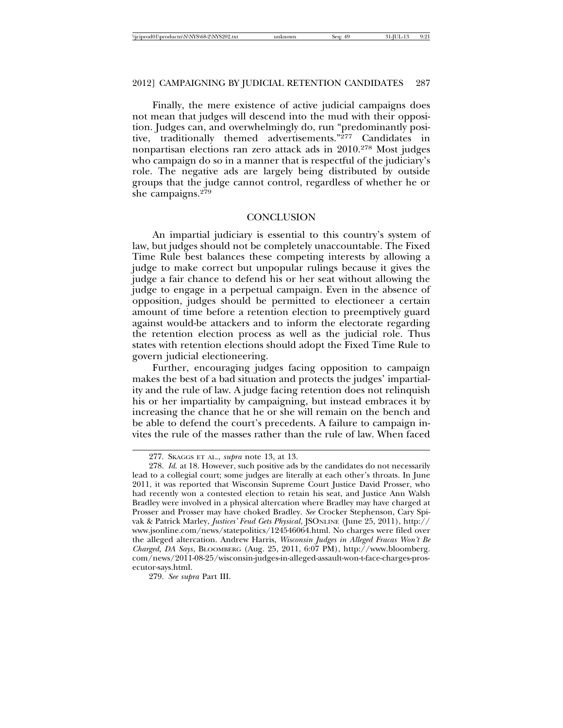| \\iciprod01\productn\N\NYS\68-2\NYS202.txt<br>Sea:<br>unknown | 31-JUL-13 | 9:27 |
|---------------------------------------------------------------|-----------|------|
|---------------------------------------------------------------|-----------|------|

Finally, the mere existence of active judicial campaigns does not mean that judges will descend into the mud with their opposition. Judges can, and overwhelmingly do, run "predominantly positive, traditionally themed advertisements."277 Candidates in nonpartisan elections ran zero attack ads in 2010.278 Most judges who campaign do so in a manner that is respectful of the judiciary's role. The negative ads are largely being distributed by outside groups that the judge cannot control, regardless of whether he or she campaigns.279

#### **CONCLUSION**

An impartial judiciary is essential to this country's system of law, but judges should not be completely unaccountable. The Fixed Time Rule best balances these competing interests by allowing a judge to make correct but unpopular rulings because it gives the judge a fair chance to defend his or her seat without allowing the judge to engage in a perpetual campaign. Even in the absence of opposition, judges should be permitted to electioneer a certain amount of time before a retention election to preemptively guard against would-be attackers and to inform the electorate regarding the retention election process as well as the judicial role. Thus states with retention elections should adopt the Fixed Time Rule to govern judicial electioneering.

Further, encouraging judges facing opposition to campaign makes the best of a bad situation and protects the judges' impartiality and the rule of law. A judge facing retention does not relinquish his or her impartiality by campaigning, but instead embraces it by increasing the chance that he or she will remain on the bench and be able to defend the court's precedents. A failure to campaign invites the rule of the masses rather than the rule of law. When faced

<sup>277.</sup> SKAGGS ET AL., *supra* note 13, at 13.

<sup>278.</sup> *Id*. at 18. However, such positive ads by the candidates do not necessarily lead to a collegial court; some judges are literally at each other's throats. In June 2011, it was reported that Wisconsin Supreme Court Justice David Prosser, who had recently won a contested election to retain his seat, and Justice Ann Walsh Bradley were involved in a physical altercation where Bradley may have charged at Prosser and Prosser may have choked Bradley. *See* Crocker Stephenson, Cary Spivak & Patrick Marley, *Justices' Feud Gets Physical*, JSONLINE (June 25, 2011), http:// www.jsonline.com/news/statepolitics/124546064.html. No charges were filed over the alleged altercation. Andrew Harris, *Wisconsin Judges in Alleged Fracas Won't Be Charged, DA Says*, BLOOMBERG (Aug. 25, 2011, 6:07 PM), http://www.bloomberg. com/news/2011-08-25/wisconsin-judges-in-alleged-assault-won-t-face-charges-prosecutor-says.html.

<sup>279.</sup> *See supra* Part III.